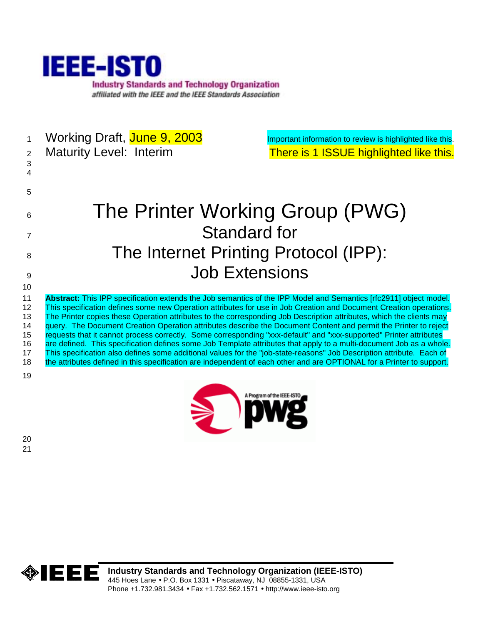

| $\mathbf 1$<br>2<br>$\mathbf{3}$             | Working Draft, June 9, 2003<br><b>Maturity Level: Interim</b>                                                                                                                                                                                                                                                                                                                                                                                                                                                                                                                                                                                                                                                                                                                                                                                                                                                                                                                      | Important information to review is highlighted like this.<br>There is 1 ISSUE highlighted like this. |
|----------------------------------------------|------------------------------------------------------------------------------------------------------------------------------------------------------------------------------------------------------------------------------------------------------------------------------------------------------------------------------------------------------------------------------------------------------------------------------------------------------------------------------------------------------------------------------------------------------------------------------------------------------------------------------------------------------------------------------------------------------------------------------------------------------------------------------------------------------------------------------------------------------------------------------------------------------------------------------------------------------------------------------------|------------------------------------------------------------------------------------------------------|
| 5                                            |                                                                                                                                                                                                                                                                                                                                                                                                                                                                                                                                                                                                                                                                                                                                                                                                                                                                                                                                                                                    |                                                                                                      |
| 6                                            | The Printer Working Group (PWG)                                                                                                                                                                                                                                                                                                                                                                                                                                                                                                                                                                                                                                                                                                                                                                                                                                                                                                                                                    |                                                                                                      |
| 7                                            | <b>Standard for</b>                                                                                                                                                                                                                                                                                                                                                                                                                                                                                                                                                                                                                                                                                                                                                                                                                                                                                                                                                                |                                                                                                      |
| 8                                            | The Internet Printing Protocol (IPP):                                                                                                                                                                                                                                                                                                                                                                                                                                                                                                                                                                                                                                                                                                                                                                                                                                                                                                                                              |                                                                                                      |
| 9                                            | <b>Job Extensions</b>                                                                                                                                                                                                                                                                                                                                                                                                                                                                                                                                                                                                                                                                                                                                                                                                                                                                                                                                                              |                                                                                                      |
| 10                                           |                                                                                                                                                                                                                                                                                                                                                                                                                                                                                                                                                                                                                                                                                                                                                                                                                                                                                                                                                                                    |                                                                                                      |
| 11<br>12<br>13<br>14<br>15<br>16<br>17<br>18 | Abstract: This IPP specification extends the Job semantics of the IPP Model and Semantics [rfc2911] object model.<br>This specification defines some new Operation attributes for use in Job Creation and Document Creation operations.<br>The Printer copies these Operation attributes to the corresponding Job Description attributes, which the clients may<br>query. The Document Creation Operation attributes describe the Document Content and permit the Printer to reject<br>requests that it cannot process correctly. Some corresponding "xxx-default" and "xxx-supported" Printer attributes<br>are defined. This specification defines some Job Template attributes that apply to a multi-document Job as a whole.<br>This specification also defines some additional values for the "job-state-reasons" Job Description attribute. Each of<br>the attributes defined in this specification are independent of each other and are OPTIONAL for a Printer to support. |                                                                                                      |
| 19                                           |                                                                                                                                                                                                                                                                                                                                                                                                                                                                                                                                                                                                                                                                                                                                                                                                                                                                                                                                                                                    | A Program of the IEEE-ISTO                                                                           |

> lbwg

20 21



**Industry Standards and Technology Organization (IEEE-ISTO)**  445 Hoes Lane • P.O. Box 1331 • Piscataway, NJ 08855-1331, USA Phone +1.732.981.3434 • Fax +1.732.562.1571 • http://www.ieee-isto.org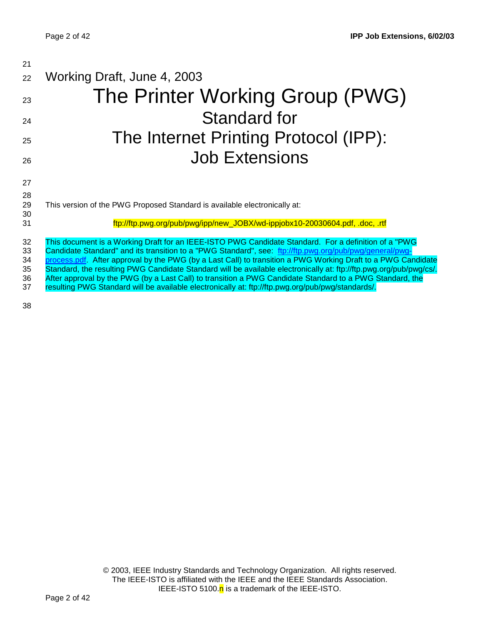| 21                               |                                                                                                                                                                                                                                                                                                                                                                                                                                                                                                                                                                                                                                                                        |
|----------------------------------|------------------------------------------------------------------------------------------------------------------------------------------------------------------------------------------------------------------------------------------------------------------------------------------------------------------------------------------------------------------------------------------------------------------------------------------------------------------------------------------------------------------------------------------------------------------------------------------------------------------------------------------------------------------------|
| 22                               | Working Draft, June 4, 2003                                                                                                                                                                                                                                                                                                                                                                                                                                                                                                                                                                                                                                            |
| 23                               | The Printer Working Group (PWG)                                                                                                                                                                                                                                                                                                                                                                                                                                                                                                                                                                                                                                        |
| 24                               | <b>Standard for</b>                                                                                                                                                                                                                                                                                                                                                                                                                                                                                                                                                                                                                                                    |
| 25                               | The Internet Printing Protocol (IPP):                                                                                                                                                                                                                                                                                                                                                                                                                                                                                                                                                                                                                                  |
| 26                               | <b>Job Extensions</b>                                                                                                                                                                                                                                                                                                                                                                                                                                                                                                                                                                                                                                                  |
| 27                               |                                                                                                                                                                                                                                                                                                                                                                                                                                                                                                                                                                                                                                                                        |
| 28                               |                                                                                                                                                                                                                                                                                                                                                                                                                                                                                                                                                                                                                                                                        |
| 29<br>30                         | This version of the PWG Proposed Standard is available electronically at:                                                                                                                                                                                                                                                                                                                                                                                                                                                                                                                                                                                              |
| 31                               | ftp://ftp.pwg.org/pub/pwg/ipp/new_JOBX/wd-ippjobx10-20030604.pdf, .doc, .rtf                                                                                                                                                                                                                                                                                                                                                                                                                                                                                                                                                                                           |
| 32<br>33<br>34<br>35<br>36<br>37 | This document is a Working Draft for an IEEE-ISTO PWG Candidate Standard. For a definition of a "PWG<br>Candidate Standard" and its transition to a "PWG Standard", see: ftp://ftp.pwg.org/pub/pwg/general/pwg-<br>process.pdf. After approval by the PWG (by a Last Call) to transition a PWG Working Draft to a PWG Candidate<br>Standard, the resulting PWG Candidate Standard will be available electronically at: ftp://ftp.pwg.org/pub/pwg/cs/.<br>After approval by the PWG (by a Last Call) to transition a PWG Candidate Standard to a PWG Standard, the<br>resulting PWG Standard will be available electronically at: ftp://ftp.pwg.org/pub/pwg/standards/. |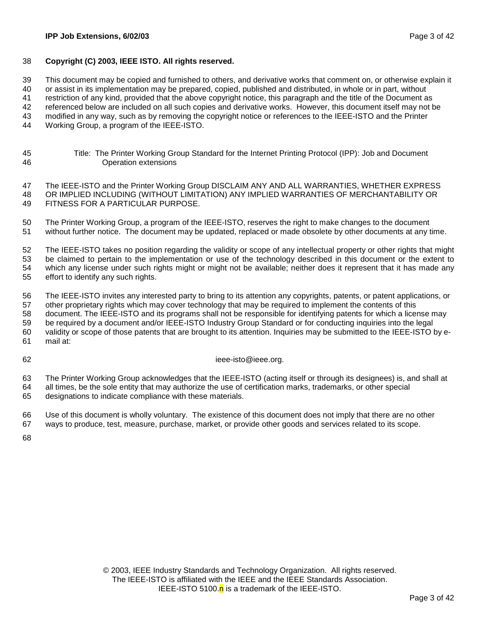### 38 **Copyright (C) 2003, IEEE ISTO. All rights reserved.**

39 This document may be copied and furnished to others, and derivative works that comment on, or otherwise explain it

40 or assist in its implementation may be prepared, copied, published and distributed, in whole or in part, without

41 restriction of any kind, provided that the above copyright notice, this paragraph and the title of the Document as

42 referenced below are included on all such copies and derivative works. However, this document itself may not be

43 modified in any way, such as by removing the copyright notice or references to the IEEE-ISTO and the Printer

44 Working Group, a program of the IEEE-ISTO.

45 Title: The Printer Working Group Standard for the Internet Printing Protocol (IPP): Job and Document 46 Operation extensions

47 The IEEE-ISTO and the Printer Working Group DISCLAIM ANY AND ALL WARRANTIES, WHETHER EXPRESS 48 OR IMPLIED INCLUDING (WITHOUT LIMITATION) ANY IMPLIED WARRANTIES OF MERCHANTABILITY OR 49 FITNESS FOR A PARTICULAR PURPOSE.

50 The Printer Working Group, a program of the IEEE-ISTO, reserves the right to make changes to the document 51 without further notice. The document may be updated, replaced or made obsolete by other documents at any time.

52 The IEEE-ISTO takes no position regarding the validity or scope of any intellectual property or other rights that might 53 be claimed to pertain to the implementation or use of the technology described in this document or the extent to 54 which any license under such rights might or might not be available; neither does it represent that it has made any 55 effort to identify any such rights.

56 The IEEE-ISTO invites any interested party to bring to its attention any copyrights, patents, or patent applications, or 57 other proprietary rights which may cover technology that may be required to implement the contents of this 58 document. The IEEE-ISTO and its programs shall not be responsible for identifying patents for which a license may 59 be required by a document and/or IEEE-ISTO Industry Group Standard or for conducting inquiries into the legal 60 validity or scope of those patents that are brought to its attention. Inquiries may be submitted to the IEEE-ISTO by e-61 mail at:

62 ieee-isto@ieee.org.

63 The Printer Working Group acknowledges that the IEEE-ISTO (acting itself or through its designees) is, and shall at 64 all times, be the sole entity that may authorize the use of certification marks, trademarks, or other special 65 designations to indicate compliance with these materials.

66 Use of this document is wholly voluntary. The existence of this document does not imply that there are no other 67 ways to produce, test, measure, purchase, market, or provide other goods and services related to its scope.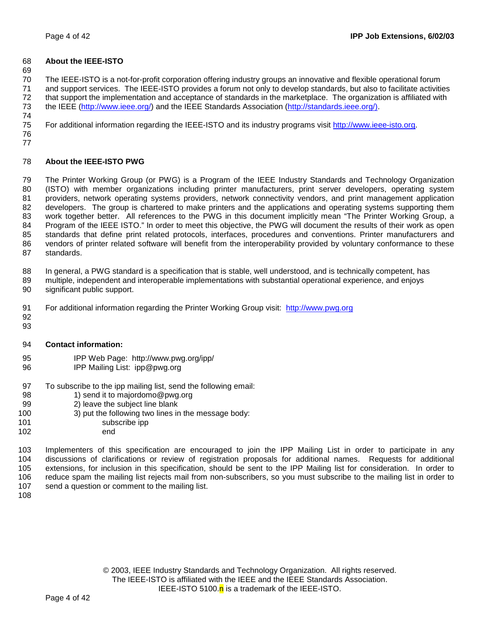## 68 **About the IEEE-ISTO**

69

70 The IEEE-ISTO is a not-for-profit corporation offering industry groups an innovative and flexible operational forum 71 and support services. The IEEE-ISTO provides a forum not only to develop standards, but also to facilitate activities 72 that support the implementation and acceptance of standards in the marketplace. The organization is affiliated with 73 the IEEE (http://www.ieee.org/) and the IEEE Standards Association (http://standards.ieee.org/). 74

75 For additional information regarding the IEEE-ISTO and its industry programs visit http://www.ieee-isto.org.

76 77

## 78 **About the IEEE-ISTO PWG**

79 The Printer Working Group (or PWG) is a Program of the IEEE Industry Standards and Technology Organization 80 (ISTO) with member organizations including printer manufacturers, print server developers, operating system 81 providers, network operating systems providers, network connectivity vendors, and print management application 82 developers. The group is chartered to make printers and the applications and operating systems supporting them 83 work together better. All references to the PWG in this document implicitly mean "The Printer Working Group, a 84 Program of the IEEE ISTO." In order to meet this objective, the PWG will document the results of their work as open 85 standards that define print related protocols, interfaces, procedures and conventions. Printer manufacturers and 86 vendors of printer related software will benefit from the interoperability provided by voluntary conformance to these 87 standards.

88 In general, a PWG standard is a specification that is stable, well understood, and is technically competent, has

- 89 multiple, independent and interoperable implementations with substantial operational experience, and enjoys 90 significant public support.
- 91 For additional information regarding the Printer Working Group visit: http://www.pwg.org
- 92 93

### 94 **Contact information:**

- 95 IPP Web Page: http://www.pwg.org/ipp/
- 96 IPP Mailing List: ipp@pwg.org
- 97 To subscribe to the ipp mailing list, send the following email:
- 98 1) send it to majordomo@pwg.org
- 99 2) leave the subject line blank
- 100 3) put the following two lines in the message body:
- 101 subscribe ipp
- 102 end

103 Implementers of this specification are encouraged to join the IPP Mailing List in order to participate in any 104 discussions of clarifications or review of registration proposals for additional names. Requests for additional 105 extensions, for inclusion in this specification, should be sent to the IPP Mailing list for consideration. In order to 106 reduce spam the mailing list rejects mail from non-subscribers, so you must subscribe to the mailing list in order to 107 send a question or comment to the mailing list.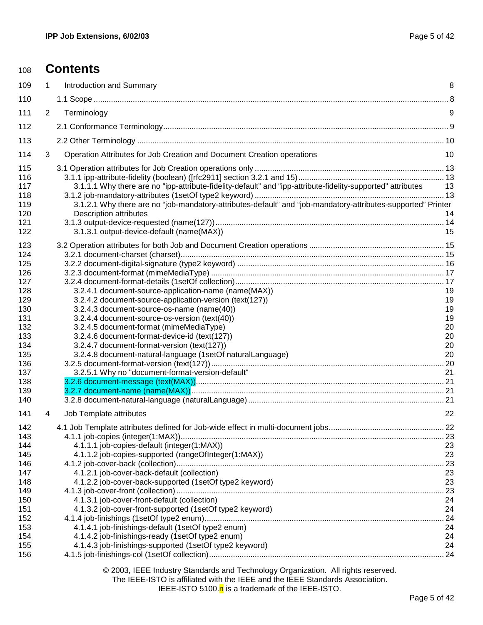| 108                                                                                                                        |   | <b>Contents</b>                                                                                                                                                                                                                                                                                                                                                                                                                                                             |                                                    |
|----------------------------------------------------------------------------------------------------------------------------|---|-----------------------------------------------------------------------------------------------------------------------------------------------------------------------------------------------------------------------------------------------------------------------------------------------------------------------------------------------------------------------------------------------------------------------------------------------------------------------------|----------------------------------------------------|
| 109                                                                                                                        | 1 | <b>Introduction and Summary</b>                                                                                                                                                                                                                                                                                                                                                                                                                                             | 8                                                  |
| 110                                                                                                                        |   |                                                                                                                                                                                                                                                                                                                                                                                                                                                                             |                                                    |
| 111                                                                                                                        | 2 | Terminology                                                                                                                                                                                                                                                                                                                                                                                                                                                                 | 9                                                  |
| 112                                                                                                                        |   |                                                                                                                                                                                                                                                                                                                                                                                                                                                                             |                                                    |
| 113                                                                                                                        |   |                                                                                                                                                                                                                                                                                                                                                                                                                                                                             |                                                    |
| 114                                                                                                                        | 3 | Operation Attributes for Job Creation and Document Creation operations                                                                                                                                                                                                                                                                                                                                                                                                      | 10                                                 |
| 115<br>116<br>117<br>118<br>119<br>120<br>121<br>122                                                                       |   | 3.1.1.1 Why there are no "ipp-attribute-fidelity-default" and "ipp-attribute-fidelity-supported" attributes<br>3.1.2.1 Why there are no "job-mandatory-attributes-default" and "job-mandatory-attributes-supported" Printer<br><b>Description attributes</b><br>3.1.3.1 output-device-default (name(MAX))                                                                                                                                                                   | - 13<br>14<br>15                                   |
| 123<br>124<br>125<br>126<br>127<br>128<br>129<br>130<br>131<br>132<br>133<br>134<br>135<br>136<br>137<br>138<br>139<br>140 |   | 3.2.4.1 document-source-application-name (name(MAX))<br>3.2.4.2 document-source-application-version (text(127))<br>3.2.4.3 document-source-os-name (name(40))<br>3.2.4.4 document-source-os-version (text(40))<br>3.2.4.5 document-format (mimeMediaType)<br>3.2.4.6 document-format-device-id (text(127))<br>3.2.4.7 document-format-version (text(127))<br>3.2.4.8 document-natural-language (1setOf naturalLanguage)<br>3.2.5.1 Why no "document-format-version-default" | 19<br>19<br>19<br>19<br>20<br>20<br>20<br>20<br>21 |
| 141                                                                                                                        | 4 | Job Template attributes<br>$\sim$ 22                                                                                                                                                                                                                                                                                                                                                                                                                                        |                                                    |
| 142<br>143<br>144<br>145<br>146<br>147<br>148<br>149<br>150<br>151                                                         |   | 4.1.1.1 job-copies-default (integer(1:MAX))<br>4.1.1.2 job-copies-supported (rangeOfInteger(1:MAX))<br>4.1.2.1 job-cover-back-default (collection)<br>4.1.2.2 job-cover-back-supported (1setOf type2 keyword)<br>4.1.3.1 job-cover-front-default (collection)<br>4.1.3.2 job-cover-front-supported (1setOf type2 keyword)                                                                                                                                                   | 23<br>23<br>23<br>23<br>24<br>24                   |
| 152<br>153<br>154<br>155                                                                                                   |   | 4.1.4.1 job-finishings-default (1setOf type2 enum)<br>4.1.4.2 job-finishings-ready (1setOf type2 enum)<br>4.1.4.3 job-finishings-supported (1setOf type2 keyword)                                                                                                                                                                                                                                                                                                           | 24<br>24<br>24<br>24                               |

### © 2003, IEEE Industry Standards and Technology Organization. All rights reserved. The IEEE-ISTO is affiliated with the IEEE and the IEEE Standards Association. IEEE-ISTO 5100. $n$  is a trademark of the IEEE-ISTO.

156 4.1.5 job-finishings-col (1setOf collection)............................................................................................................ 24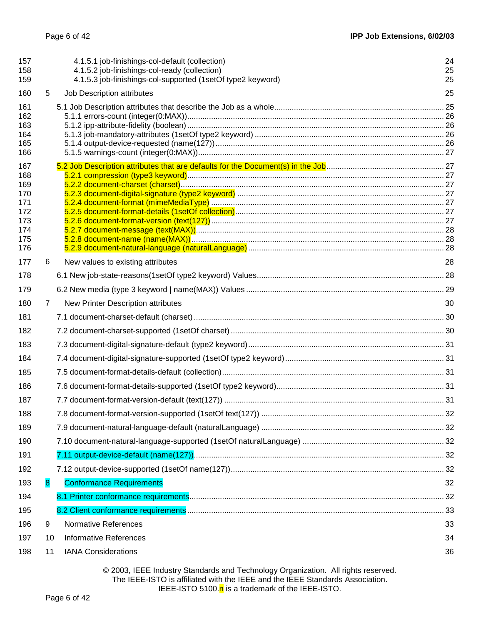| 157<br>158<br>159                                                  |    | 4.1.5.1 job-finishings-col-default (collection)<br>4.1.5.2 job-finishings-col-ready (collection)<br>4.1.5.3 job-finishings-col-supported (1setOf type2 keyword) | 24<br>25<br>25 |
|--------------------------------------------------------------------|----|-----------------------------------------------------------------------------------------------------------------------------------------------------------------|----------------|
| 160                                                                | 5  | Job Description attributes                                                                                                                                      | 25             |
| 161<br>162<br>163<br>164<br>165<br>166                             |    |                                                                                                                                                                 |                |
| 167<br>168<br>169<br>170<br>171<br>172<br>173<br>174<br>175<br>176 |    |                                                                                                                                                                 |                |
| 177                                                                | 6  | New values to existing attributes                                                                                                                               | 28             |
| 178                                                                |    |                                                                                                                                                                 |                |
| 179                                                                |    |                                                                                                                                                                 |                |
| 180                                                                | 7  | New Printer Description attributes                                                                                                                              | 30             |
| 181                                                                |    |                                                                                                                                                                 |                |
| 182                                                                |    |                                                                                                                                                                 |                |
| 183                                                                |    |                                                                                                                                                                 |                |
| 184                                                                |    |                                                                                                                                                                 |                |
| 185                                                                |    |                                                                                                                                                                 |                |
| 186                                                                |    |                                                                                                                                                                 |                |
| 187                                                                |    |                                                                                                                                                                 |                |
| 188                                                                |    |                                                                                                                                                                 |                |
| 189                                                                |    |                                                                                                                                                                 |                |
| 190                                                                |    |                                                                                                                                                                 |                |
| 191                                                                |    |                                                                                                                                                                 |                |
| 192                                                                |    |                                                                                                                                                                 |                |
| 193                                                                | 8  | <b>Conformance Requirements</b>                                                                                                                                 | 32             |
| 194                                                                |    |                                                                                                                                                                 |                |
| 195                                                                |    |                                                                                                                                                                 |                |
| 196                                                                | 9  | <b>Normative References</b>                                                                                                                                     | 33             |
| 197                                                                | 10 | <b>Informative References</b>                                                                                                                                   | 34             |
| 198                                                                | 11 | <b>IANA Considerations</b>                                                                                                                                      | 36             |

© 2003, IEEE Industry Standards and Technology Organization. All rights reserved. The IEEE-ISTO is affiliated with the IEEE and the IEEE Standards Association. IEEE-ISTO 5100.<sup>n</sup> is a trademark of the IEEE-ISTO.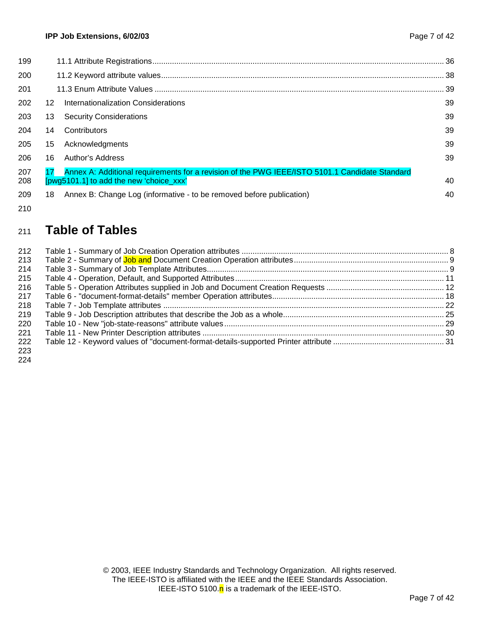| 199        |    |                                                                                                                                           | . 36 |
|------------|----|-------------------------------------------------------------------------------------------------------------------------------------------|------|
| 200        |    |                                                                                                                                           | . 38 |
| 201        |    |                                                                                                                                           | . 39 |
| 202        | 12 | Internationalization Considerations                                                                                                       | 39   |
| 203        | 13 | <b>Security Considerations</b>                                                                                                            | 39   |
| 204        | 14 | Contributors                                                                                                                              | 39   |
| 205        | 15 | Acknowledgments                                                                                                                           | 39   |
| 206        | 16 | Author's Address                                                                                                                          | 39   |
| 207<br>208 |    | Annex A: Additional requirements for a revision of the PWG IEEE/ISTO 5101.1 Candidate Standard<br>[pwg5101.1] to add the new 'choice xxx' | 40   |
| 209        | 18 | Annex B: Change Log (informative - to be removed before publication)                                                                      | 40   |
| 210        |    |                                                                                                                                           |      |

# <sup>211</sup>**Table of Tables**

| 212 |  |
|-----|--|
| 213 |  |
| 214 |  |
| 215 |  |
| 216 |  |
| 217 |  |
| 218 |  |
| 219 |  |
| 220 |  |
| 221 |  |
| 222 |  |
| 223 |  |
| 224 |  |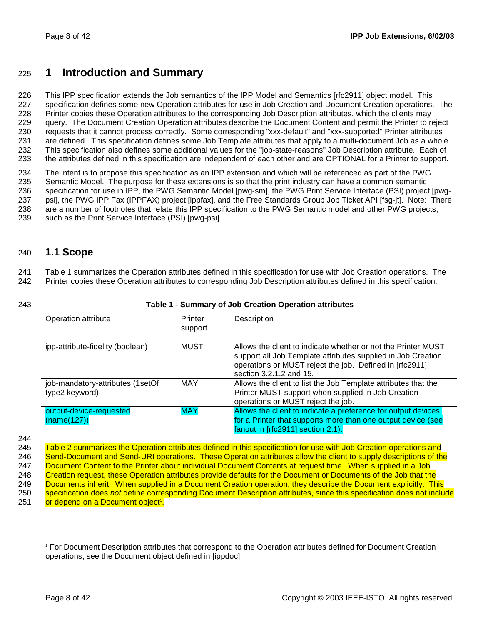# 225 **1 Introduction and Summary**

226 This IPP specification extends the Job semantics of the IPP Model and Semantics [rfc2911] object model. This 227 specification defines some new Operation attributes for use in Job Creation and Document Creation operations. The 228 Printer copies these Operation attributes to the corresponding Job Description attributes, which the clients may 229 query. The Document Creation Operation attributes describe the Document Content and permit the Printer to reject 230 requests that it cannot process correctly. Some corresponding "xxx-default" and "xxx-supported" Printer attributes 231 are defined. This specification defines some Job Template attributes that apply to a multi-document Job as a whole. 232 This specification also defines some additional values for the "job-state-reasons" Job Description attribute. Each of 233 the attributes defined in this specification are independent of each other and are OPTIONAL for a Printer to support.

234 The intent is to propose this specification as an IPP extension and which will be referenced as part of the PWG 235 Semantic Model. The purpose for these extensions is so that the print industry can have a common semantic<br>236 specification for use in IPP, the PWG Semantic Model [pwg-sm], the PWG Print Service Interface (PSI) project specification for use in IPP, the PWG Semantic Model [pwg-sm], the PWG Print Service Interface (PSI) project [pwg-237 psi], the PWG IPP Fax (IPPFAX) project [ippfax], and the Free Standards Group Job Ticket API [fsg-jt]. Note: There 238 are a number of footnotes that relate this IPP specification to the PWG Semantic model and other PWG projects, 239 such as the Print Service Interface (PSI) [pwg-psi].

# 240 **1.1 Scope**

241 Table 1 summarizes the Operation attributes defined in this specification for use with Job Creation operations. The 242 Printer copies these Operation attributes to corresponding Job Description attributes defined in this specification.

### 243 **Table 1 - Summary of Job Creation Operation attributes**

| Operation attribute                                | Printer<br>support | Description                                                                                                                                                                                                         |
|----------------------------------------------------|--------------------|---------------------------------------------------------------------------------------------------------------------------------------------------------------------------------------------------------------------|
| ipp-attribute-fidelity (boolean)                   | <b>MUST</b>        | Allows the client to indicate whether or not the Printer MUST<br>support all Job Template attributes supplied in Job Creation<br>operations or MUST reject the job. Defined in [rfc2911]<br>section 3.2.1.2 and 15. |
| job-mandatory-attributes (1setOf<br>type2 keyword) | <b>MAY</b>         | Allows the client to list the Job Template attributes that the<br>Printer MUST support when supplied in Job Creation<br>operations or MUST reject the job.                                                          |
| output-device-requested<br>(name(127))             | <b>MAY</b>         | Allows the client to indicate a preference for output devices,<br>for a Printer that supports more than one output device (see<br>fanout in [rfc2911] section 2.1).                                                 |

244

245 Table 2 summarizes the Operation attributes defined in this specification for use with Job Creation operations and 246 Send-Document and Send-URI operations. These Operation attributes allow the client to supply descriptions of the 247 Document Content to the Printer about individual Document Contents at request time. When supplied in a Job 248 Creation request, these Operation attributes provide defaults for the Document or Documents of the Job that the 249 Documents inherit. When supplied in a Document Creation operation, they describe the Document explicitly. This 250 specification does *not* define corresponding Document Description attributes, since this specification does not include 251 **or depend on a Document object<sup>1</sup>**.

l 1 For Document Description attributes that correspond to the Operation attributes defined for Document Creation operations, see the Document object defined in [ippdoc].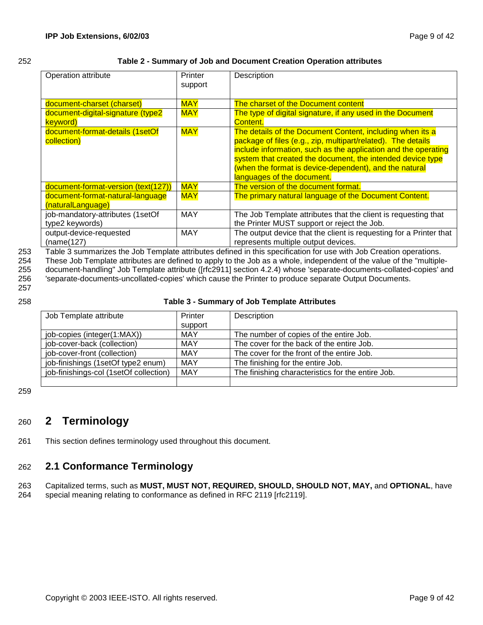### 252 **Table 2 - Summary of Job and Document Creation Operation attributes**

| Operation attribute                                   | Printer<br>support | Description                                                                                                                                                                                                                                                                                                                                       |
|-------------------------------------------------------|--------------------|---------------------------------------------------------------------------------------------------------------------------------------------------------------------------------------------------------------------------------------------------------------------------------------------------------------------------------------------------|
| document-charset (charset)                            | <b>MAY</b>         | The charset of the Document content                                                                                                                                                                                                                                                                                                               |
| document-digital-signature (type2<br>keyword)         | <b>MAY</b>         | The type of digital signature, if any used in the Document<br>Content.                                                                                                                                                                                                                                                                            |
| document-format-details (1setOf<br>collection)        | <b>MAY</b>         | The details of the Document Content, including when its a<br>package of files (e.g., zip, multipart/related). The details<br>include information, such as the application and the operating<br>system that created the document, the intended device type<br>(when the format is device-dependent), and the natural<br>languages of the document. |
| document-format-version (text(127))                   | <b>MAY</b>         | The version of the document format.                                                                                                                                                                                                                                                                                                               |
| document-format-natural-language<br>(naturalLanguage) | <b>MAY</b>         | The primary natural language of the Document Content.                                                                                                                                                                                                                                                                                             |
| job-mandatory-attributes (1setOf<br>type2 keywords)   | <b>MAY</b>         | The Job Template attributes that the client is requesting that<br>the Printer MUST support or reject the Job.                                                                                                                                                                                                                                     |
| output-device-requested<br>(name(127)                 | <b>MAY</b>         | The output device that the client is requesting for a Printer that<br>represents multiple output devices.                                                                                                                                                                                                                                         |

253 Table 3 summarizes the Job Template attributes defined in this specification for use with Job Creation operations.

254 These Job Template attributes are defined to apply to the Job as a whole, independent of the value of the "multiple-255 document-handling" Job Template attribute ([rfc2911] section 4.2.4) whose 'separate-documents-collated-copies' and 256 'separate-documents-uncollated-copies' which cause the Printer to produce separate Output Documents.

257

### 258 **Table 3 - Summary of Job Template Attributes**

| Job Template attribute<br>Printer      |            | Description                                       |
|----------------------------------------|------------|---------------------------------------------------|
|                                        | support    |                                                   |
| job-copies (integer(1:MAX))            | <b>MAY</b> | The number of copies of the entire Job.           |
| job-cover-back (collection)            | MAY        | The cover for the back of the entire Job.         |
| job-cover-front (collection)           | <b>MAY</b> | The cover for the front of the entire Job.        |
| job-finishings (1setOf type2 enum)     | MAY        | The finishing for the entire Job.                 |
| job-finishings-col (1setOf collection) | MAY        | The finishing characteristics for the entire Job. |
|                                        |            |                                                   |

259

# 260 **2 Terminology**

261 This section defines terminology used throughout this document.

# 262 **2.1 Conformance Terminology**

263 Capitalized terms, such as **MUST, MUST NOT, REQUIRED, SHOULD, SHOULD NOT, MAY,** and **OPTIONAL**, have

264 special meaning relating to conformance as defined in RFC 2119 [rfc2119].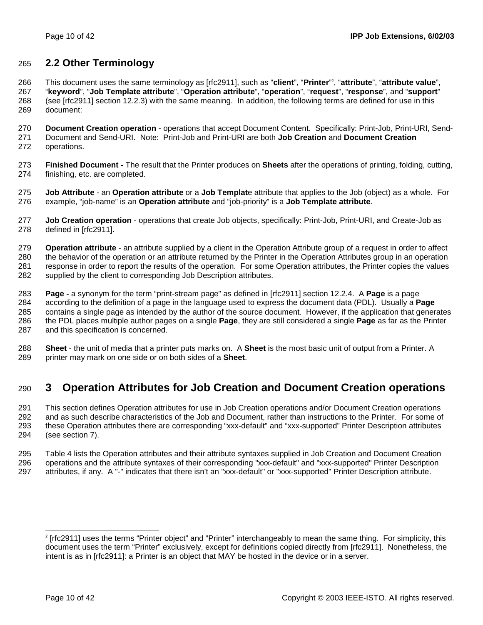# 265 **2.2 Other Terminology**

This document uses the same terminology as [rfc2911], such as "**client**", "**Printer**" <sup>2</sup> 266 , "**attribute**", "**attribute value**", 267 "**keyword**", "**Job Template attribute**", "**Operation attribute**", "**operation**", "**request**", "**response**", and "**support**" 268 (see [rfc2911] section 12.2.3) with the same meaning. In addition, the following terms are defined for use in this 269 document:

270 **Document Creation operation** - operations that accept Document Content. Specifically: Print-Job, Print-URI, Send-271 Document and Send-URI. Note: Print-Job and Print-URI are both **Job Creation** and **Document Creation** 272 operations.

273 **Finished Document -** The result that the Printer produces on **Sheets** after the operations of printing, folding, cutting, 274 finishing, etc. are completed.

275 **Job Attribute** - an **Operation attribute** or a **Job Templat**e attribute that applies to the Job (object) as a whole. For 276 example, "job-name" is an **Operation attribute** and "job-priority" is a **Job Template attribute**.

277 **Job Creation operation** - operations that create Job objects, specifically: Print-Job, Print-URI, and Create-Job as 278 defined in [rfc2911].

279 **Operation attribute** - an attribute supplied by a client in the Operation Attribute group of a request in order to affect 280 the behavior of the operation or an attribute returned by the Printer in the Operation Attributes group in an operation 281 response in order to report the results of the operation. For some Operation attributes, the Printer copies the values 282 supplied by the client to corresponding Job Description attributes.

283 **Page -** a synonym for the term "print-stream page" as defined in [rfc2911] section 12.2.4. A **Page** is a page 284 according to the definition of a page in the language used to express the document data (PDL). Usually a **Page** 285 contains a single page as intended by the author of the source document. However, if the application that generates 286 the PDL places multiple author pages on a single **Page**, they are still considered a single **Page** as far as the Printer 287 and this specification is concerned.

288 **Sheet** - the unit of media that a printer puts marks on. A **Sheet** is the most basic unit of output from a Printer. A 289 printer may mark on one side or on both sides of a **Sheet**.

# 290 **3 Operation Attributes for Job Creation and Document Creation operations**

291 This section defines Operation attributes for use in Job Creation operations and/or Document Creation operations 292 and as such describe characteristics of the Job and Document, rather than instructions to the Printer. For some of 293 these Operation attributes there are corresponding "xxx-default" and "xxx-supported" Printer Description attributes 294 (see section 7).

295 Table 4 lists the Operation attributes and their attribute syntaxes supplied in Job Creation and Document Creation 296 operations and the attribute syntaxes of their corresponding "xxx-default" and "xxx-supported" Printer Description 297 attributes, if any. A "-" indicates that there isn't an "xxx-default" or "xxx-supported" Printer Description attribute.

l

<sup>2</sup> [rfc2911] uses the terms "Printer object" and "Printer" interchangeably to mean the same thing. For simplicity, this document uses the term "Printer" exclusively, except for definitions copied directly from [rfc2911]. Nonetheless, the intent is as in [rfc2911]: a Printer is an object that MAY be hosted in the device or in a server.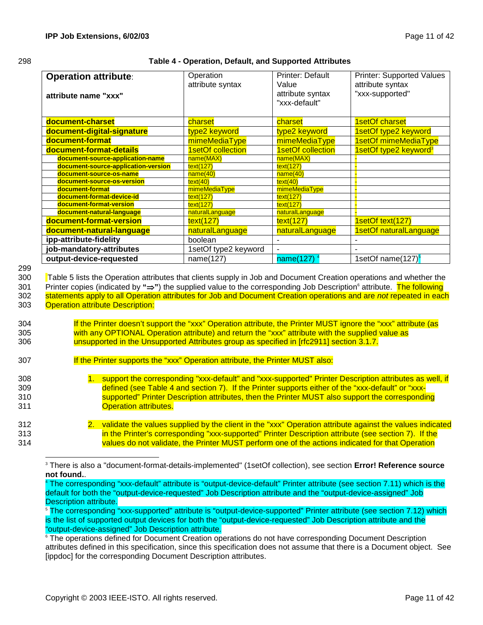| 298 | Table 4 - Operation, Default, and Supported Attributes |
|-----|--------------------------------------------------------|
|     |                                                        |

| <b>Operation attribute:</b>                                                                                                     | Operation<br>attribute syntax | <b>Printer: Default</b><br>Value  | <b>Printer: Supported Values</b><br>attribute syntax |
|---------------------------------------------------------------------------------------------------------------------------------|-------------------------------|-----------------------------------|------------------------------------------------------|
| attribute name "xxx"                                                                                                            |                               | attribute syntax<br>"xxx-default" | "xxx-supported"                                      |
| document-charset                                                                                                                | charset                       | charset                           | 1setOf charset                                       |
| document-digital-signature                                                                                                      | type2 keyword                 | type2 keyword                     | 1setOf type2 keyword                                 |
| document-format                                                                                                                 | mimeMediaType                 | mimeMediaType                     | 1setOf mimeMediaType                                 |
| document-format-details                                                                                                         | 1setOf collection             | 1setOf collection                 | 1setOf type2 keyword <sup>3</sup>                    |
| document-source-application-name                                                                                                | name(MAX)                     | name(MAX)                         |                                                      |
| document-source-application-version                                                                                             | text(127)                     | text(127)                         |                                                      |
| document-source-os-name                                                                                                         | name(40)                      | name(40)                          |                                                      |
| document-source-os-version                                                                                                      | text(40)                      | text(40)                          |                                                      |
| document-format                                                                                                                 | mimeMediaType                 | mimeMediaType                     |                                                      |
| document-format-device-id<br>document-format-version                                                                            | text(127)                     | text(127)                         |                                                      |
| document-natural-language                                                                                                       | text(127)<br>naturalLanguage  | text(127)<br>naturalLanguage      |                                                      |
| document-format-version                                                                                                         | text(127)                     | text(127)                         | 1setOf text(127)                                     |
| document-natural-language                                                                                                       | naturalLanguage               | naturalLanguage                   | 1setOf naturalLanguage                               |
| ipp-attribute-fidelity                                                                                                          | boolean                       |                                   |                                                      |
| job-mandatory-attributes                                                                                                        | 1setOf type2 keyword          |                                   |                                                      |
| output-device-requested                                                                                                         | name(127)                     | name(127)                         | 1setOf name(127) <sup>5</sup>                        |
|                                                                                                                                 |                               |                                   |                                                      |
| Table 5 lists the Operation attributes that clients supply in Job and Document Creation operations and whether the              |                               |                                   |                                                      |
| Printer copies (indicated by "⇒") the supplied value to the corresponding Job Description <sup>6</sup> attribute. The following |                               |                                   |                                                      |
| statements apply to all Operation attributes for Job and Document Creation operations and are not repeated in each              |                               |                                   |                                                      |
| <b>Operation attribute Description:</b>                                                                                         |                               |                                   |                                                      |
|                                                                                                                                 |                               |                                   |                                                      |
| If the Printer doesn't support the "xxx" Operation attribute, the Printer MUST ignore the "xxx" attribute (as                   |                               |                                   |                                                      |
| with any OPTIONAL Operation attribute) and return the "xxx" attribute with the supplied value as                                |                               |                                   |                                                      |

<sup>305</sup> with any OPTIONAL Operation attribute) and return the "xxx" attribute with the supplied value as 306 unsupported in the Unsupported Attributes group as specified in [rfc2911] section 3.1.7.

<sup>307</sup> **If the Printer supports the "xxx" Operation attribute, the Printer MUST also:** 

<sup>308 1.</sup> support the corresponding "xxx-default" and "xxx-supported" Printer Description attributes as well, if 309 defined (see Table 4 and section 7). If the Printer supports either of the "xxx-default" or "xxx-310 **Supported" Printer Description attributes, then the Printer MUST also support the corresponding** 311 Operation attributes.

<sup>312 2.</sup> validate the values supplied by the client in the "xxx" Operation attribute against the values indicated 313 **in the Printer's corresponding "xxx-supported" Printer Description attribute (see section 7). If the** 314 values do not validate, the Printer MUST perform one of the actions indicated for that Operation

l 3 There is also a "document-format-details-implemented" (1setOf collection), see section **Error! Reference source not found.**. 4

The corresponding "xxx-default" attribute is "output-device-default" Printer attribute (see section 7.11) which is the default for both the "output-device-requested" Job Description attribute and the "output-device-assigned" Job Description attribute.

<sup>5</sup> The corresponding "xxx-supported" attribute is "output-device-supported" Printer attribute (see section 7.12) which is the list of supported output devices for both the "output-device-requested" Job Description attribute and the "output-device-assigned" Job Description attribute.

<sup>&</sup>lt;sup>6</sup> The operations defined for Document Creation operations do not have corresponding Document Description attributes defined in this specification, since this specification does not assume that there is a Document object. See [ippdoc] for the corresponding Document Description attributes.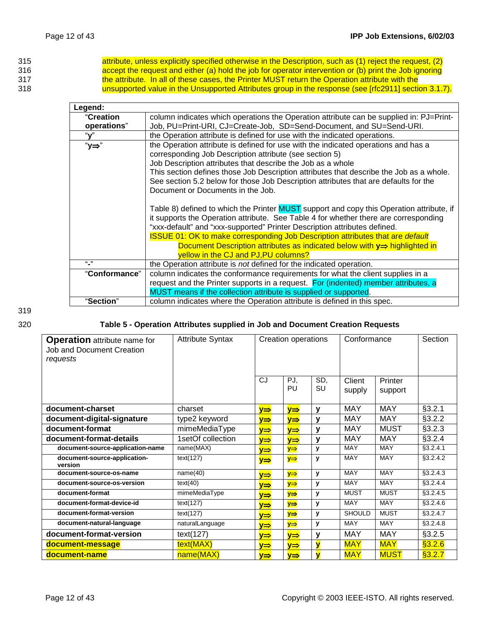| 315 | attribute, unless explicitly specified otherwise in the Description, such as (1) reject the request, (2) |
|-----|----------------------------------------------------------------------------------------------------------|
| 316 | accept the request and either (a) hold the job for operator intervention or (b) print the Job ignoring   |
| 317 | the attribute. In all of these cases, the Printer MUST return the Operation attribute with the           |
| 318 | unsupported value in the Unsupported Attributes group in the response (see [rfc2911] section 3.1.7).     |

| Legend:       |                                                                                                                                                                                                                                                                                                                                                                                                                                                                                         |
|---------------|-----------------------------------------------------------------------------------------------------------------------------------------------------------------------------------------------------------------------------------------------------------------------------------------------------------------------------------------------------------------------------------------------------------------------------------------------------------------------------------------|
| "Creation     | column indicates which operations the Operation attribute can be supplied in: PJ=Print-                                                                                                                                                                                                                                                                                                                                                                                                 |
| operations"   | Job, PU=Print-URI, CJ=Create-Job, SD=Send-Document, and SU=Send-URI.                                                                                                                                                                                                                                                                                                                                                                                                                    |
| "v"           | the Operation attribute is defined for use with the indicated operations.                                                                                                                                                                                                                                                                                                                                                                                                               |
| "y⇒"          | the Operation attribute is defined for use with the indicated operations and has a<br>corresponding Job Description attribute (see section 5)<br>Job Description attributes that describe the Job as a whole<br>This section defines those Job Description attributes that describe the Job as a whole.<br>See section 5.2 below for those Job Description attributes that are defaults for the<br>Document or Documents in the Job.                                                    |
|               | Table 8) defined to which the Printer MUST support and copy this Operation attribute, if<br>it supports the Operation attribute. See Table 4 for whether there are corresponding<br>"xxx-default" and "xxx-supported" Printer Description attributes defined.<br><b>ISSUE 01: OK to make corresponding Job Description attributes that are default</b><br>Document Description attributes as indicated below with $y \Rightarrow$ highlighted in<br>yellow in the CJ and PJ,PU columns? |
| $(1 - 1)$     | the Operation attribute is not defined for the indicated operation.                                                                                                                                                                                                                                                                                                                                                                                                                     |
| "Conformance" | column indicates the conformance requirements for what the client supplies in a<br>request and the Printer supports in a request. For (indented) member attributes, a<br>MUST means if the collection attribute is supplied or supported.                                                                                                                                                                                                                                               |
| "Section"     | column indicates where the Operation attribute is defined in this spec.                                                                                                                                                                                                                                                                                                                                                                                                                 |

# 320 **Table 5 - Operation Attributes supplied in Job and Document Creation Requests**

| <b>Operation</b> attribute name for<br><b>Job and Document Creation</b><br>requests | <b>Attribute Syntax</b> | Creation operations |                 | Conformance             |                  | Section            |           |
|-------------------------------------------------------------------------------------|-------------------------|---------------------|-----------------|-------------------------|------------------|--------------------|-----------|
|                                                                                     |                         | CJ                  | PJ.<br>PU       | SD,<br>SU               | Client<br>supply | Printer<br>support |           |
| document-charset                                                                    | charset                 | y⇒                  | y⇒              | $\mathbf{v}$            | <b>MAY</b>       | <b>MAY</b>         | §3.2.1    |
| document-digital-signature                                                          | type2 keyword           | ⋎⇒                  | y⇒              | $\mathbf v$             | <b>MAY</b>       | <b>MAY</b>         | §3.2.2    |
| document-format                                                                     | mimeMediaType           | y⇒                  | $y \Rightarrow$ | v                       | <b>MAY</b>       | <b>MUST</b>        | §3.2.3    |
| document-format-details                                                             | 1setOf collection       | ⋎⇒                  | ⋎⇒              | v                       | <b>MAY</b>       | <b>MAY</b>         | §3.2.4    |
| document-source-application-name                                                    | name(MAX)               | ⋎⇒                  | $y \Rightarrow$ | $\mathbf{v}$            | <b>MAY</b>       | <b>MAY</b>         | \$3.2.4.1 |
| document-source-application-<br>version                                             | text(127)               | y⇒                  | $y \Rightarrow$ | $\mathbf{v}$            | MAY              | MAY                | \$3.2.4.2 |
| document-source-os-name                                                             | name(40)                | y⇒                  | $y \Rightarrow$ | $\mathbf{v}$            | MAY              | MAY                | \$3.2.4.3 |
| document-source-os-version                                                          | text(40)                | ⋎⇒                  | $y \Rightarrow$ | $\mathbf v$             | MAY              | MAY                | §3.2.4.4  |
| document-format                                                                     | mimeMediaType           | y⇒                  | $y \Rightarrow$ | $\mathbf{v}$            | <b>MUST</b>      | <b>MUST</b>        | §3.2.4.5  |
| document-format-device-id                                                           | text(127)               | y⇒                  | y⇒              | $\mathbf{v}$            | <b>MAY</b>       | MAY                | \$3.2.4.6 |
| document-format-version                                                             | text(127)               | ⋎⇒                  | $y \Rightarrow$ | $\mathbf{v}$            | <b>SHOULD</b>    | <b>MUST</b>        | §3.2.4.7  |
| document-natural-language                                                           | naturalLanguage         | ⋎⇒                  | $y \Rightarrow$ | $\mathbf{v}$            | <b>MAY</b>       | MAY                | §3.2.4.8  |
| document-format-version                                                             | text(127)               | ⋎⇒                  | V⇒              | v                       | <b>MAY</b>       | <b>MAY</b>         | §3.2.5    |
| document-message                                                                    | text(MAX)               | ⋎⇒                  | ⋎⇒              | $\overline{\mathsf{v}}$ | <b>MAY</b>       | <b>MAY</b>         | \$3.2.6   |
| document-name                                                                       | name(MAX)               | y⇒                  | V⇒              | $\overline{\mathbf{v}}$ | <b>MAY</b>       | <b>MUST</b>        | §3.2.7    |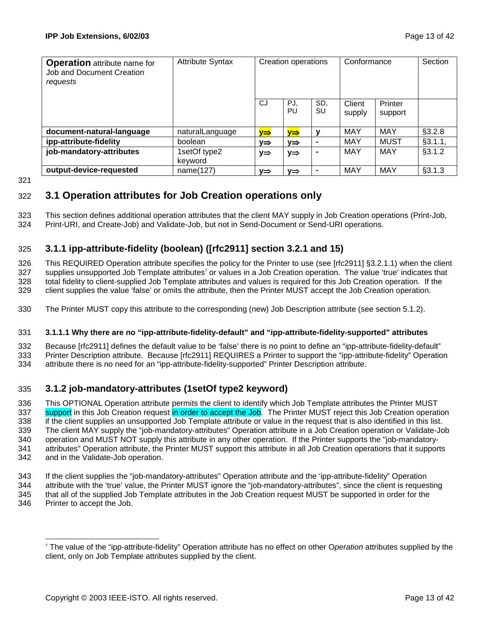| <b>Operation</b> attribute name for<br>Job and Document Creation<br>reguests | <b>Attribute Syntax</b> | Creation operations |                 | Conformance    |                  | Section            |         |
|------------------------------------------------------------------------------|-------------------------|---------------------|-----------------|----------------|------------------|--------------------|---------|
|                                                                              |                         | CJ                  | PJ.<br>PU       | SD.<br>SU      | Client<br>supply | Printer<br>support |         |
| document-natural-language                                                    | naturalLanguage         | V⇒                  | ν⇒              | v              | MAY              | <b>MAY</b>         | \$3.2.8 |
| ipp-attribute-fidelity                                                       | boolean                 | V⇒                  | V⇒              | $\blacksquare$ | MAY              | <b>MUST</b>        | §3.1.1, |
| job-mandatory-attributes                                                     | 1setOf type2<br>keyword | y⇒                  | $y \Rightarrow$ |                | MAY              | MAY                | §3.1.2  |
| output-device-requested                                                      | name(127)               | V⇒                  | V⇒              | $\blacksquare$ | MAY              | MAY                | §3.1.3  |

321

# 322 **3.1 Operation attributes for Job Creation operations only**

323 This section defines additional operation attributes that the client MAY supply in Job Creation operations (Print-Job, 324 Print-URI, and Create-Job) and Validate-Job, but not in Send-Document or Send-URI operations.

# 325 **3.1.1 ipp-attribute-fidelity (boolean) ([rfc2911] section 3.2.1 and 15)**

326 This REQUIRED Operation attribute specifies the policy for the Printer to use (see [rfc2911] §3.2.1.1) when the client 327 supplies unsupported Job Template attributes<sup>7</sup> or values in a Job Creation operation. The value 'true' indicates that 328 total fidelity to client-supplied Job Template attributes and values is required for this Job Creation operation. If the 329 client supplies the value 'false' or omits the attribute, then the Printer MUST accept the Job Creation operation.

330 The Printer MUST copy this attribute to the corresponding (new) Job Description attribute (see section 5.1.2).

### 331 **3.1.1.1 Why there are no "ipp-attribute-fidelity-default" and "ipp-attribute-fidelity-supported" attributes**

332 Because [rfc2911] defines the default value to be 'false' there is no point to define an "ipp-attribute-fidelity-default" 333 Printer Description attribute. Because [rfc2911] REQUIRES a Printer to support the "ipp-attribute-fidelity" Operation 334 attribute there is no need for an "ipp-attribute-fidelity-supported" Printer Description attribute.

# 335 **3.1.2 job-mandatory-attributes (1setOf type2 keyword)**

336 This OPTIONAL Operation attribute permits the client to identify which Job Template attributes the Printer MUST 337 support in this Job Creation request in order to accept the Job. The Printer MUST reject this Job Creation operation 338 if the client supplies an unsupported Job Template attribute or value in the request that is also identified in this list. 339 The client MAY supply the "job-mandatory-attributes" Operation attribute in a Job Creation operation or Validate-Job 340 operation and MUST NOT supply this attribute in any other operation. If the Printer supports the "job-mandatory-341 attributes" Operation attribute, the Printer MUST support this attribute in all Job Creation operations that it supports 342 and in the Validate-Job operation.

- 343 If the client supplies the "job-mandatory-attributes" Operation attribute and the 'ipp-attribute-fidelity" Operation 344 attribute with the 'true' value, the Printer MUST ignore the "job-mandatory-attributes", since the client is requesting 345 that all of the supplied Job Template attributes in the Job Creation request MUST be supported in order for the
- 346 Printer to accept the Job.

l 7 The value of the "ipp-attribute-fidelity" Operation attribute has no effect on other O*peration* attributes supplied by the client, only on Job Template attributes supplied by the client.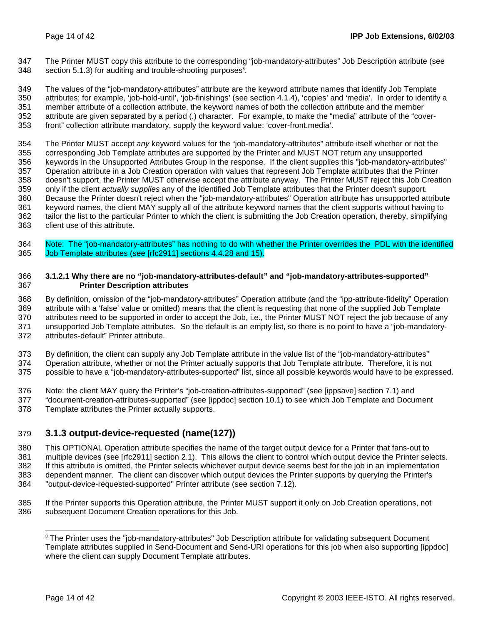347 The Printer MUST copy this attribute to the corresponding "job-mandatory-attributes" Job Description attribute (see  $348$  section 5.1.3) for auditing and trouble-shooting purposes<sup>8</sup>.

349 The values of the "job-mandatory-attributes" attribute are the keyword attribute names that identify Job Template 350 attributes; for example, 'job-hold-until', 'job-finishings' (see section 4.1.4), 'copies' and 'media'. In order to identify a 351 member attribute of a collection attribute, the keyword names of both the collection attribute and the member 352 attribute are given separated by a period (.) character. For example, to make the "media" attribute of the "cover-353 front" collection attribute mandatory, supply the keyword value: 'cover-front.media'.

354 The Printer MUST accept *any* keyword values for the "job-mandatory-attributes" attribute itself whether or not the 355 corresponding Job Template attributes are supported by the Printer and MUST NOT return any unsupported 356 keywords in the Unsupported Attributes Group in the response. If the client supplies this "job-mandatory-attributes" 357 Operation attribute in a Job Creation operation with values that represent Job Template attributes that the Printer 358 doesn't support, the Printer MUST otherwise accept the attribute anyway. The Printer MUST reject this Job Creation 359 only if the client *actually supplies* any of the identified Job Template attributes that the Printer doesn't support. 360 Because the Printer doesn't reject when the "job-mandatory-attributes" Operation attribute has unsupported attribute 361 keyword names, the client MAY supply all of the attribute keyword names that the client supports without having to 362 tailor the list to the particular Printer to which the client is submitting the Job Creation operation, thereby, simplifying 363 client use of this attribute.

364 Note: The "job-mandatory-attributes" has nothing to do with whether the Printer overrides the PDL with the identified 365 Job Template attributes (see [rfc2911] sections 4.4.28 and 15).

### 366 **3.1.2.1 Why there are no "job-mandatory-attributes-default" and "job-mandatory-attributes-supported"**  367 **Printer Description attributes**

368 By definition, omission of the "job-mandatory-attributes" Operation attribute (and the "ipp-attribute-fidelity" Operation 369 attribute with a 'false' value or omitted) means that the client is requesting that none of the supplied Job Template 370 attributes need to be supported in order to accept the Job, i.e., the Printer MUST NOT reject the job because of any 371 unsupported Job Template attributes. So the default is an empty list, so there is no point to have a "job-mandatory-372 attributes-default" Printer attribute.

373 By definition, the client can supply any Job Template attribute in the value list of the "job-mandatory-attributes" 374 Operation attribute, whether or not the Printer actually supports that Job Template attribute. Therefore, it is not 375 possible to have a "job-mandatory-attributes-supported" list, since all possible keywords would have to be expressed.

- 376 Note: the client MAY query the Printer's "job-creation-attributes-supported" (see [ippsave] section 7.1) and
- 377 "document-creation-attributes-supported" (see [ippdoc] section 10.1) to see which Job Template and Document 378 Template attributes the Printer actually supports.

# 379 **3.1.3 output-device-requested (name(127))**

380 This OPTIONAL Operation attribute specifies the name of the target output device for a Printer that fans-out to 381 multiple devices (see [rfc2911] section 2.1). This allows the client to control which output device the Printer selects. 382 If this attribute is omitted, the Printer selects whichever output device seems best for the job in an implementation 383 dependent manner. The client can discover which output devices the Printer supports by querying the Printer's 384 "output-device-requested-supported" Printer attribute (see section 7.12).

385 If the Printer supports this Operation attribute, the Printer MUST support it only on Job Creation operations, not 386 subsequent Document Creation operations for this Job.

l

<sup>&</sup>lt;sup>8</sup> The Printer uses the "job-mandatory-attributes" Job Description attribute for validating subsequent Document Template attributes supplied in Send-Document and Send-URI operations for this job when also supporting [ippdoc] where the client can supply Document Template attributes.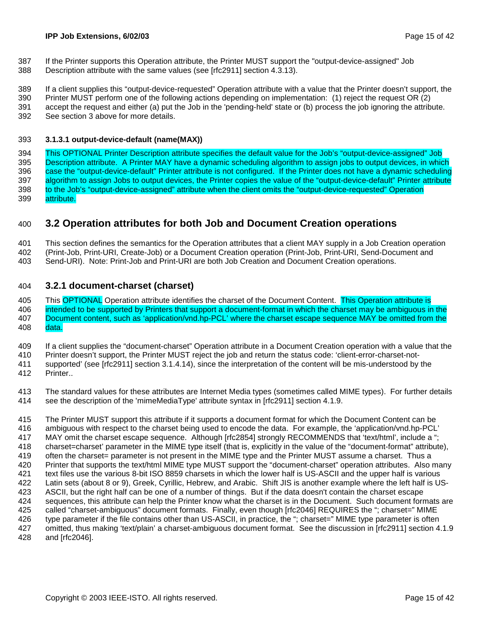- 387 If the Printer supports this Operation attribute, the Printer MUST support the "output-device-assigned" Job
- 388 Description attribute with the same values (see [rfc2911] section 4.3.13).

389 If a client supplies this "output-device-requested" Operation attribute with a value that the Printer doesn't support, the

- 390 Printer MUST perform one of the following actions depending on implementation: (1) reject the request OR (2) 391 accept the request and either (a) put the Job in the 'pending-held' state or (b) process the job ignoring the attribute.
- 392 See section 3 above for more details.

### 393 **3.1.3.1 output-device-default (name(MAX))**

394 This OPTIONAL Printer Description attribute specifies the default value for the Job's "output-device-assigned" Job 395 Description attribute. A Printer MAY have a dynamic scheduling algorithm to assign jobs to output devices, in which 396 case the "output-device-default" Printer attribute is not configured. If the Printer does not have a dynamic scheduling 397 algorithm to assign Jobs to output devices, the Printer copies the value of the "output-device-default" Printer attribute 398 to the Job's "output-device-assigned" attribute when the client omits the "output-device-requested" Operation 399 attribute.

# 400 **3.2 Operation attributes for both Job and Document Creation operations**

401 This section defines the semantics for the Operation attributes that a client MAY supply in a Job Creation operation

402 (Print-Job, Print-URI, Create-Job) or a Document Creation operation (Print-Job, Print-URI, Send-Document and

403 Send-URI). Note: Print-Job and Print-URI are both Job Creation and Document Creation operations.

## 404 **3.2.1 document-charset (charset)**

405 This OPTIONAL Operation attribute identifies the charset of the Document Content. This Operation attribute is 406 intended to be supported by Printers that support a document-format in which the charset may be ambiguous in the 407 Document content, such as 'application/vnd.hp-PCL' where the charset escape sequence MAY be omitted from the 408 data.

409 If a client supplies the "document-charset" Operation attribute in a Document Creation operation with a value that the

410 Printer doesn't support, the Printer MUST reject the job and return the status code: 'client-error-charset-not-

411 supported' (see [rfc2911] section 3.1.4.14), since the interpretation of the content will be mis-understood by the 412 Printer..

413 The standard values for these attributes are Internet Media types (sometimes called MIME types). For further details 414 see the description of the 'mimeMediaType' attribute syntax in [rfc2911] section 4.1.9.

415 The Printer MUST support this attribute if it supports a document format for which the Document Content can be

416 ambiguous with respect to the charset being used to encode the data. For example, the 'application/vnd.hp-PCL'

417 MAY omit the charset escape sequence. Although [rfc2854] strongly RECOMMENDS that 'text/html', include a ";

418 charset=charset' parameter in the MIME type itself (that is, explicitly in the value of the "document-format" attribute),

419 often the charset= parameter is not present in the MIME type and the Printer MUST assume a charset. Thus a

420 Printer that supports the text/html MIME type MUST support the "document-charset" operation attributes. Also many 421 text files use the various 8-bit ISO 8859 charsets in which the lower half is US-ASCII and the upper half is various

422 Latin sets (about 8 or 9), Greek, Cyrillic, Hebrew, and Arabic. Shift JIS is another example where the left half is US-

423 ASCII, but the right half can be one of a number of things. But if the data doesn't contain the charset escape

424 sequences, this attribute can help the Printer know what the charset is in the Document. Such document formats are

425 called "charset-ambiguous" document formats. Finally, even though [rfc2046] REQUIRES the "; charset=" MIME 426 type parameter if the file contains other than US-ASCII, in practice, the "; charset=" MIME type parameter is often

427 omitted, thus making 'text/plain' a charset-ambiguous document format. See the discussion in [rfc2911] section 4.1.9

428 and [rfc2046].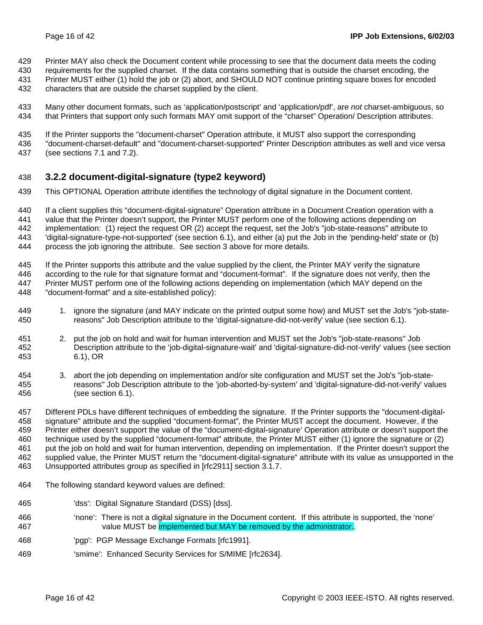- 429 Printer MAY also check the Document content while processing to see that the document data meets the coding
- 430 requirements for the supplied charset. If the data contains something that is outside the charset encoding, the 431 Printer MUST either (1) hold the job or (2) abort, and SHOULD NOT continue printing square boxes for encoded
- 432 characters that are outside the charset supplied by the client.
- 433 Many other document formats, such as 'application/postscript' and 'application/pdf', are *not* charset-ambiguous, so 434 that Printers that support only such formats MAY omit support of the "charset" Operation/ Description attributes.
- 435 If the Printer supports the "document-charset" Operation attribute, it MUST also support the corresponding
- 436 "document-charset-default" and "document-charset-supported" Printer Description attributes as well and vice versa 437 (see sections 7.1 and 7.2).

## 438 **3.2.2 document-digital-signature (type2 keyword)**

- 439 This OPTIONAL Operation attribute identifies the technology of digital signature in the Document content.
- 440 If a client supplies this "document-digital-signature" Operation attribute in a Document Creation operation with a 441 value that the Printer doesn't support, the Printer MUST perform one of the following actions depending on 442 implementation: (1) reject the request OR (2) accept the request, set the Job's "job-state-reasons" attribute to 443 'digital-signature-type-not-supported' (see section 6.1), and either (a) put the Job in the 'pending-held' state or (b) 444 process the job ignoring the attribute. See section 3 above for more details.
- 445 If the Printer supports this attribute and the value supplied by the client, the Printer MAY verify the signature 446 according to the rule for that signature format and "document-format". If the signature does not verify, then the 447 Printer MUST perform one of the following actions depending on implementation (which MAY depend on the 448 "document-format" and a site-established policy):
- 449 1. ignore the signature (and MAY indicate on the printed output some how) and MUST set the Job's "job-state-450 reasons" Job Description attribute to the 'digital-signature-did-not-verify' value (see section 6.1).
- 451 2. put the job on hold and wait for human intervention and MUST set the Job's "job-state-reasons" Job 452 Description attribute to the 'job-digital-signature-wait' and 'digital-signature-did-not-verify' values (see section 453 6.1), OR
- 454 3. abort the job depending on implementation and/or site configuration and MUST set the Job's "job-state-455 reasons" Job Description attribute to the 'job-aborted-by-system' and 'digital-signature-did-not-verify' values 456 (see section 6.1).

457 Different PDLs have different techniques of embedding the signature. If the Printer supports the "document-digital-458 signature" attribute and the supplied "document-format", the Printer MUST accept the document. However, if the 459 Printer either doesn't support the value of the "document-digital-signature' Operation attribute or doesn't support the 460 technique used by the supplied "document-format" attribute, the Printer MUST either (1) ignore the signature or (2) 461 put the job on hold and wait for human intervention, depending on implementation. If the Printer doesn't support the 462 supplied value, the Printer MUST return the "document-digital-signature" attribute with its value as unsupported in the 463 Unsupported attributes group as specified in [rfc2911] section 3.1.7.

- 464 The following standard keyword values are defined:
- 465 'dss': Digital Signature Standard (DSS) [dss].
- 466 'none': There is not a digital signature in the Document content. If this attribute is supported, the 'none' 467 value MUST be implemented but MAY be removed by the administrator.
- 468 'pgp': PGP Message Exchange Formats [rfc1991].
- 469 'smime': Enhanced Security Services for S/MIME [rfc2634].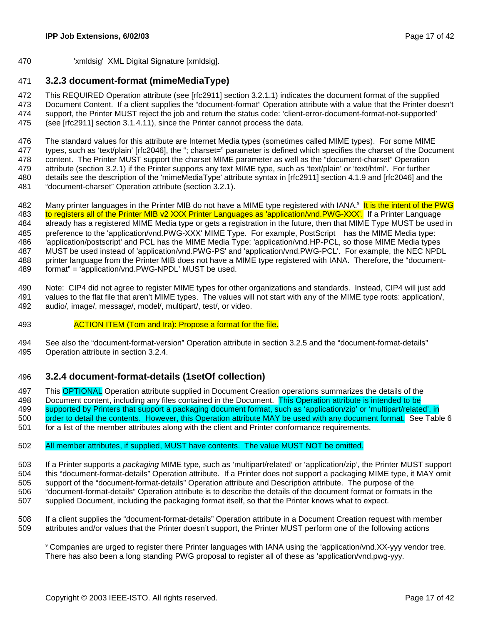470 'xmldsig' XML Digital Signature [xmldsig].

## 471 **3.2.3 document-format (mimeMediaType)**

472 This REQUIRED Operation attribute (see [rfc2911] section 3.2.1.1) indicates the document format of the supplied 473 Document Content. If a client supplies the "document-format" Operation attribute with a value that the Printer doesn't 474 support, the Printer MUST reject the job and return the status code: 'client-error-document-format-not-supported' 475 (see [rfc2911] section 3.1.4.11), since the Printer cannot process the data.

476 The standard values for this attribute are Internet Media types (sometimes called MIME types). For some MIME 477 types, such as 'text/plain' [rfc2046], the "; charset=" parameter is defined which specifies the charset of the Document 478 content. The Printer MUST support the charset MIME parameter as well as the "document-charset" Operation 479 attribute (section 3.2.1) if the Printer supports any text MIME type, such as 'text/plain' or 'text/html'. For further 480 details see the description of the 'mimeMediaType' attribute syntax in [rfc2911] section 4.1.9 and [rfc2046] and the 481 "document-charset" Operation attribute (section 3.2.1).

- 482 Many printer languages in the Printer MIB do not have a MIME type registered with IANA.<sup>9</sup> It is the intent of the PWG 483 to registers all of the Printer MIB v2 XXX Printer Languages as 'application/vnd.PWG-XXX'. If a Printer Language 484 already has a registered MIME Media type or gets a registration in the future, then that MIME Type MUST be used in 485 preference to the 'application/vnd.PWG-XXX' MIME Type. For example, PostScript® has the MIME Media type: 486 'application/postscript' and PCL has the MIME Media Type: 'application/vnd.HP-PCL, so those MIME Media types 487 MUST be used instead of 'application/vnd.PWG-PS' and 'application/vnd.PWG-PCL'. For example, the NEC NPDL 488 printer language from the Printer MIB does not have a MIME type registered with IANA. Therefore, the "document-489 format" = 'application/vnd.PWG-NPDL' MUST be used.
- 490 Note: CIP4 did not agree to register MIME types for other organizations and standards. Instead, CIP4 will just add 491 values to the flat file that aren't MIME types. The values will not start with any of the MIME type roots: application/, 492 audio/, image/, message/, model/, multipart/, test/, or video.
- 493 ACTION ITEM (Tom and Ira): Propose a format for the file.
- 494 See also the "document-format-version" Operation attribute in section 3.2.5 and the "document-format-details" 495 Operation attribute in section 3.2.4.

## 496 **3.2.4 document-format-details (1setOf collection)**

497 This OPTIONAL Operation attribute supplied in Document Creation operations summarizes the details of the

498 Document content, including any files contained in the Document. This Operation attribute is intended to be 499 supported by Printers that support a packaging document format, such as 'application/zip' or 'multipart/related', in

500 order to detail the contents. However, this Operation attribute MAY be used with any document format. See Table 6 501 for a list of the member attributes along with the client and Printer conformance requirements.

### 502 All member attributes, if supplied, MUST have contents. The value MUST NOT be omitted.

503 If a Printer supports a *packaging* MIME type, such as 'multipart/related' or 'application/zip', the Printer MUST support 504 this "document-format-details" Operation attribute. If a Printer does not support a packaging MIME type, it MAY omit 505 support of the "document-format-details" Operation attribute and Description attribute. The purpose of the 506 "document-format-details" Operation attribute is to describe the details of the document format or formats in the 507 supplied Document, including the packaging format itself, so that the Printer knows what to expect.

- 508 If a client supplies the "document-format-details" Operation attribute in a Document Creation request with member 509 attributes and/or values that the Printer doesn't support, the Printer MUST perform one of the following actions
	- l 9 Companies are urged to register there Printer languages with IANA using the 'application/vnd.XX-yyy vendor tree. There has also been a long standing PWG proposal to register all of these as 'application/vnd.pwg-yyy.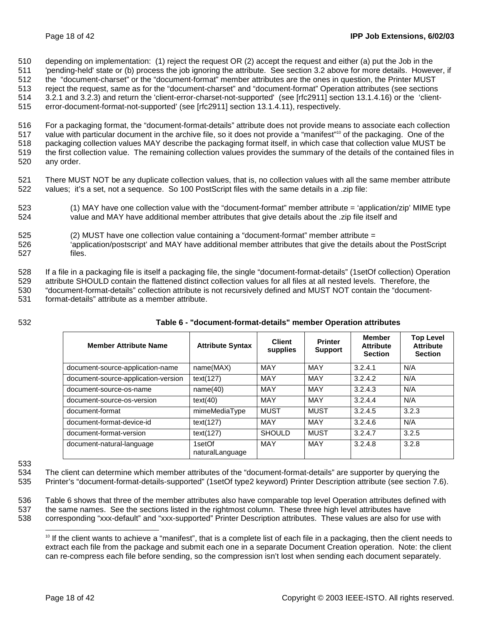510 depending on implementation: (1) reject the request OR (2) accept the request and either (a) put the Job in the

511 'pending-held' state or (b) process the job ignoring the attribute. See section 3.2 above for more details. However, if 512 the "document-charset" or the "document-format" member attributes are the ones in question, the Printer MUST

513 reject the request, same as for the "document-charset" and "document-format" Operation attributes (see sections

514 3.2.1 and 3.2.3) and return the 'client-error-charset-not-supported' (see [rfc2911] section 13.1.4.16) or the 'client-

515 error-document-format-not-supported' (see [rfc2911] section 13.1.4.11), respectively.

516 For a packaging format, the "document-format-details" attribute does not provide means to associate each collection 517 value with particular document in the archive file, so it does not provide a "manifest"<sup>10</sup> of the packaging. One of the 518 packaging collection values MAY describe the packaging format itself, in which case that collection value MUST be 519 the first collection value. The remaining collection values provides the summary of the details of the contained files in 520 any order.

- 521 There MUST NOT be any duplicate collection values, that is, no collection values with all the same member attribute 522 values; it's a set, not a sequence. So 100 PostScript files with the same details in a .zip file:
- 523 (1) MAY have one collection value with the "document-format" member attribute = 'application/zip' MIME type 524 value and MAY have additional member attributes that give details about the .zip file itself and
- 525 (2) MUST have one collection value containing a "document-format" member attribute =
- 526 'application/postscript' and MAY have additional member attributes that give the details about the PostScript 527 files.

528 If a file in a packaging file is itself a packaging file, the single "document-format-details" (1setOf collection) Operation

529 attribute SHOULD contain the flattened distinct collection values for all files at all nested levels. Therefore, the 530 "document-format-details" collection attribute is not recursively defined and MUST NOT contain the "document-

531 format-details" attribute as a member attribute.

532 **Table 6 - "document-format-details" member Operation attributes** 

| <b>Member Attribute Name</b>        | <b>Attribute Syntax</b>   | <b>Client</b><br>supplies | <b>Printer</b><br><b>Support</b> | <b>Member</b><br><b>Attribute</b><br><b>Section</b> | <b>Top Level</b><br><b>Attribute</b><br><b>Section</b> |
|-------------------------------------|---------------------------|---------------------------|----------------------------------|-----------------------------------------------------|--------------------------------------------------------|
| document-source-application-name    | name(MAX)                 | MAY                       | MAY                              | 3.2.4.1                                             | N/A                                                    |
| document-source-application-version | text(127)                 | MAY                       | MAY                              | 3.2.4.2                                             | N/A                                                    |
| document-source-os-name             | name(40)                  | <b>MAY</b>                | MAY                              | 3.2.4.3                                             | N/A                                                    |
| document-source-os-version          | text(40)                  | MAY                       | MAY                              | 3.2.4.4                                             | N/A                                                    |
| document-format                     | mimeMediaType             | <b>MUST</b>               | <b>MUST</b>                      | 3.2.4.5                                             | 3.2.3                                                  |
| document-format-device-id           | text(127)                 | <b>MAY</b>                | <b>MAY</b>                       | 3.2.4.6                                             | N/A                                                    |
| document-format-version             | text(127)                 | <b>SHOULD</b>             | <b>MUST</b>                      | 3.2.4.7                                             | 3.2.5                                                  |
| document-natural-language           | 1setOf<br>naturalLanguage | <b>MAY</b>                | <b>MAY</b>                       | 3.2.4.8                                             | 3.2.8                                                  |

533

l

534 The client can determine which member attributes of the "document-format-details" are supporter by querying the 535 Printer's "document-format-details-supported" (1setOf type2 keyword) Printer Description attribute (see section 7.6).

536 Table 6 shows that three of the member attributes also have comparable top level Operation attributes defined with 537 the same names. See the sections listed in the rightmost column. These three high level attributes have

538 corresponding "xxx-default" and "xxx-supported" Printer Description attributes. These values are also for use with

<sup>10</sup> If the client wants to achieve a "manifest", that is a complete list of each file in a packaging, then the client needs to extract each file from the package and submit each one in a separate Document Creation operation. Note: the client can re-compress each file before sending, so the compression isn't lost when sending each document separately.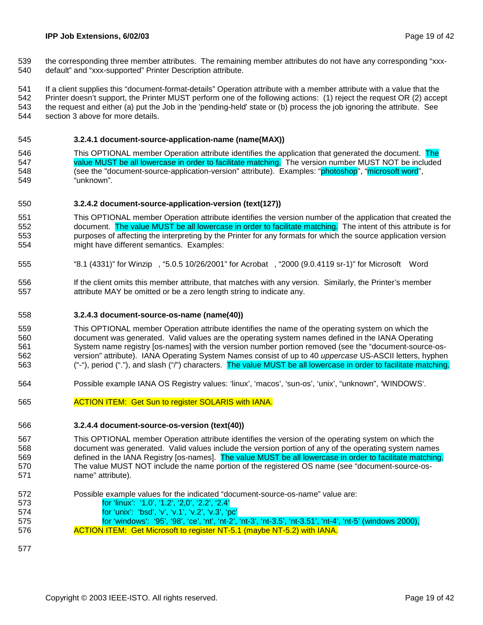539 the corresponding three member attributes. The remaining member attributes do not have any corresponding "xxx-540 default" and "xxx-supported" Printer Description attribute.

541 If a client supplies this "document-format-details" Operation attribute with a member attribute with a value that the 542 Printer doesn't support, the Printer MUST perform one of the following actions: (1) reject the request OR (2) accept 543 the request and either (a) put the Job in the 'pending-held' state or (b) process the job ignoring the attribute. See 544 section 3 above for more details.

### 545 **3.2.4.1 document-source-application-name (name(MAX))**

546 This OPTIONAL member Operation attribute identifies the application that generated the document. The 547 value MUST be all lowercase in order to facilitate matching. The version number MUST NOT be included 548 (see the "document-source-application-version" attribute). Examples: "photoshop", "microsoft word", 549 "unknown".

### 550 **3.2.4.2 document-source-application-version (text(127))**

- 551 This OPTIONAL member Operation attribute identifies the version number of the application that created the 552 document. The value MUST be all lowercase in order to facilitate matching. The intent of this attribute is for 553 purposes of affecting the interpreting by the Printer for any formats for which the source application version 554 might have different semantics. Examples:
- 555 "8.1 (4331)" for Winzip®, "5.0.5 10/26/2001" for Acrobat®, "2000 (9.0.4119 sr-1)" for Microsoft® Word
- 556 If the client omits this member attribute, that matches with any version. Similarly, the Printer's member 557 attribute MAY be omitted or be a zero length string to indicate any.

#### 558 **3.2.4.3 document-source-os-name (name(40))**

559 This OPTIONAL member Operation attribute identifies the name of the operating system on which the 560 document was generated. Valid values are the operating system names defined in the IANA Operating 561 System name registry [os-names] with the version number portion removed (see the "document-source-os-562 version" attribute). IANA Operating System Names consist of up to 40 *uppercase* US-ASCII letters, hyphen 563 ("-"), period ("."), and slash ("/") characters. The value MUST be all lowercase in order to facilitate matching.

- 564 Possible example IANA OS Registry values: 'linux', 'macos', 'sun-os', 'unix', "unknown", 'WINDOWS'.
- 565 ACTION ITEM: Get Sun to register SOLARIS with IANA.

#### 566 **3.2.4.4 document-source-os-version (text(40))**

567 This OPTIONAL member Operation attribute identifies the version of the operating system on which the 568 document was generated. Valid values include the version portion of any of the operating system names 569 defined in the IANA Registry [os-names]. The value MUST be all lowercase in order to facilitate matching. 570 The value MUST NOT include the name portion of the registered OS name (see "document-source-os-571 name" attribute).

- 572 Possible example values for the indicated "document-source-os-name" value are:
- 573 for 'linux': '1.0', '1.2', '2,0', '2.2', '2.4'
- 574 for 'unix': 'bsd', 'v', 'v.1', 'v.2', 'v.3', 'pc'
- 575 for 'windows': '95', '98', 'ce', 'nt', 'nt-2', 'nt-3', 'nt-3.5', 'nt-3.51', 'nt-4', 'nt-5' (windows 2000), 576 **ACTION ITEM: Get Microsoft to register NT-5.1 (maybe NT-5.2) with IANA.**
- 577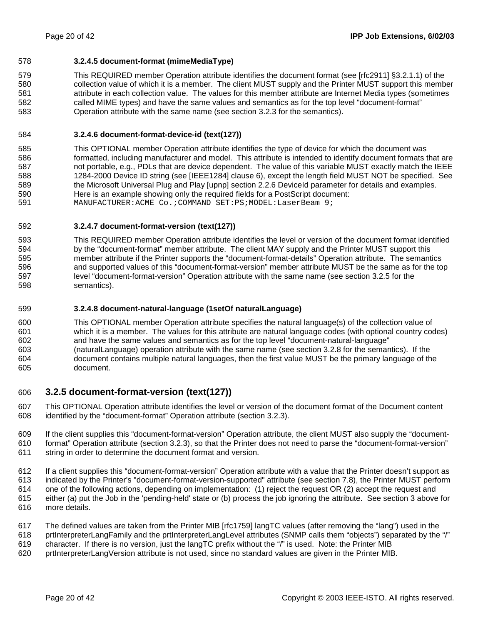### 578 **3.2.4.5 document-format (mimeMediaType)**

579 This REQUIRED member Operation attribute identifies the document format (see [rfc2911] §3.2.1.1) of the 580 collection value of which it is a member. The client MUST supply and the Printer MUST support this member 581 attribute in each collection value. The values for this member attribute are Internet Media types (sometimes 582 called MIME types) and have the same values and semantics as for the top level "document-format" 583 Operation attribute with the same name (see section 3.2.3 for the semantics).

### 584 **3.2.4.6 document-format-device-id (text(127))**

585 This OPTIONAL member Operation attribute identifies the type of device for which the document was 586 formatted, including manufacturer and model. This attribute is intended to identify document formats that are 587 not portable, e.g., PDLs that are device dependent. The value of this variable MUST exactly match the IEEE 588 1284-2000 Device ID string (see [IEEE1284] clause 6), except the length field MUST NOT be specified. See 589 the Microsoft Universal Plug and Play [upnp] section 2.2.6 DeviceId parameter for details and examples. 590 Here is an example showing only the required fields for a PostScript document: 591 MANUFACTURER:ACME Co.; COMMAND SET:PS; MODEL: LaserBeam 9;

### 592 **3.2.4.7 document-format-version (text(127))**

593 This REQUIRED member Operation attribute identifies the level or version of the document format identified 594 by the "document-format" member attribute. The client MAY supply and the Printer MUST support this 595 member attribute if the Printer supports the "document-format-details" Operation attribute. The semantics 596 and supported values of this "document-format-version" member attribute MUST be the same as for the top 597 level "document-format-version" Operation attribute with the same name (see section 3.2.5 for the 598 semantics).

### 599 **3.2.4.8 document-natural-language (1setOf naturalLanguage)**

600 This OPTIONAL member Operation attribute specifies the natural language(s) of the collection value of 601 which it is a member. The values for this attribute are natural language codes (with optional country codes) 602 and have the same values and semantics as for the top level "document-natural-language" 603 (naturalLanguage) operation attribute with the same name (see section 3.2.8 for the semantics). If the 604 document contains multiple natural languages, then the first value MUST be the primary language of the 605 document.

## 606 **3.2.5 document-format-version (text(127))**

607 This OPTIONAL Operation attribute identifies the level or version of the document format of the Document content 608 identified by the "document-format" Operation attribute (section 3.2.3).

609 If the client supplies this "document-format-version" Operation attribute, the client MUST also supply the "document-610 format" Operation attribute (section 3.2.3), so that the Printer does not need to parse the "document-format-version" 611 string in order to determine the document format and version.

612 If a client supplies this "document-format-version" Operation attribute with a value that the Printer doesn't support as

613 indicated by the Printer's "document-format-version-supported" attribute (see section 7.8), the Printer MUST perform

- 614 one of the following actions, depending on implementation: (1) reject the request OR (2) accept the request and 615 either (a) put the Job in the 'pending-held' state or (b) process the job ignoring the attribute. See section 3 above for
- 616 more details.
- 617 The defined values are taken from the Printer MIB [rfc1759] langTC values (after removing the "lang") used in the
- 618 prtInterpreterLangFamily and the prtInterpreterLangLevel attributes (SNMP calls them "objects") separated by the "/"
- 619 character. If there is no version, just the langTC prefix without the "/" is used. Note: the Printer MIB
- 620 prtInterpreterLangVersion attribute is not used, since no standard values are given in the Printer MIB.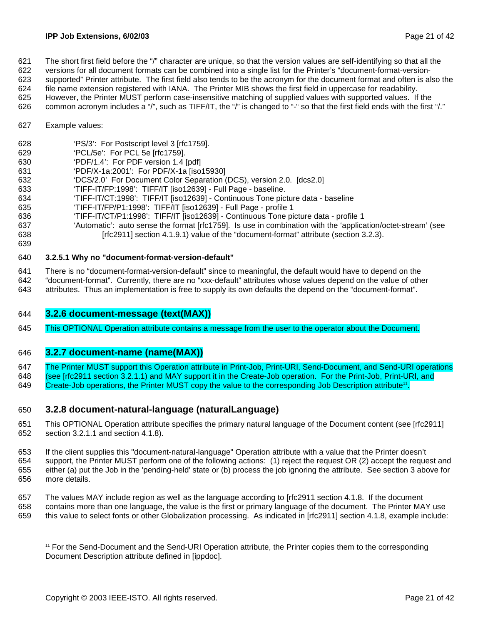621 The short first field before the "/" character are unique, so that the version values are self-identifying so that all the

- 622 versions for all document formats can be combined into a single list for the Printer's "document-format-version-623 supported" Printer attribute. The first field also tends to be the acronym for the document format and often is also the
- 624 file name extension registered with IANA. The Printer MIB shows the first field in uppercase for readability.
- 625 However, the Printer MUST perform case-insensitive matching of supplied values with supported values. If the
- 626 common acronym includes a "/", such as TIFF/IT, the "/" is changed to "-" so that the first field ends with the first "/."
- 627 Example values:
- 628 'PS/3': For Postscript level 3 [rfc1759].
- 629 'PCL/5e': For PCL 5e [rfc1759].
- 630 'PDF/1.4': For PDF version 1.4 [pdf]
- 631 'PDF/X-1a:2001': For PDF/X-1a [iso15930]
- 632 'DCS/2.0' For Document Color Separation (DCS), version 2.0. [dcs2.0]
- 633 'TIFF-IT/FP:1998': TIFF/IT [iso12639] Full Page baseline.
- 634 'TIFF-IT/CT:1998': TIFF/IT [iso12639] Continuous Tone picture data baseline
- 635 'TIFF-IT/FP/P1:1998': TIFF/IT [iso12639] Full Page profile 1
- 636 'TIFF-IT/CT/P1:1998': TIFF/IT [iso12639] Continuous Tone picture data profile 1
- 637 'Automatic': auto sense the format [rfc1759]. Is use in combination with the 'application/octet-stream' (see 638 [rfc2911] section 4.1.9.1) value of the "document-format" attribute (section 3.2.3).
- 639

## 640 **3.2.5.1 Why no "document-format-version-default"**

- 641 There is no "document-format-version-default" since to meaningful, the default would have to depend on the
- 642 "document-format". Currently, there are no "xxx-default" attributes whose values depend on the value of other
- 643 attributes. Thus an implementation is free to supply its own defaults the depend on the "document-format".

## 644 **3.2.6 document-message (text(MAX))**

645 This OPTIONAL Operation attribute contains a message from the user to the operator about the Document.

## 646 **3.2.7 document-name (name(MAX))**

647 The Printer MUST support this Operation attribute in Print-Job, Print-URI, Send-Document, and Send-URI operations

- 648 (see [rfc2911 section 3.2.1.1) and MAY support it in the Create-Job operation. For the Print-Job, Print-URI, and
- 649 Create-Job operations, the Printer MUST copy the value to the corresponding Job Description attribute<sup>11</sup>.

## 650 **3.2.8 document-natural-language (naturalLanguage)**

- 651 This OPTIONAL Operation attribute specifies the primary natural language of the Document content (see [rfc2911] 652 section 3.2.1.1 and section 4.1.8).
- 653 If the client supplies this "document-natural-language" Operation attribute with a value that the Printer doesn't 654 support, the Printer MUST perform one of the following actions: (1) reject the request OR (2) accept the request and 655 either (a) put the Job in the 'pending-held' state or (b) process the job ignoring the attribute. See section 3 above for 656 more details.
- 657 The values MAY include region as well as the language according to [rfc2911 section 4.1.8. If the document 658 contains more than one language, the value is the first or primary language of the document. The Printer MAY use
- 659 this value to select fonts or other Globalization processing. As indicated in [rfc2911] section 4.1.8, example include:

l 11 For the Send-Document and the Send-URI Operation attribute, the Printer copies them to the corresponding Document Description attribute defined in [ippdoc].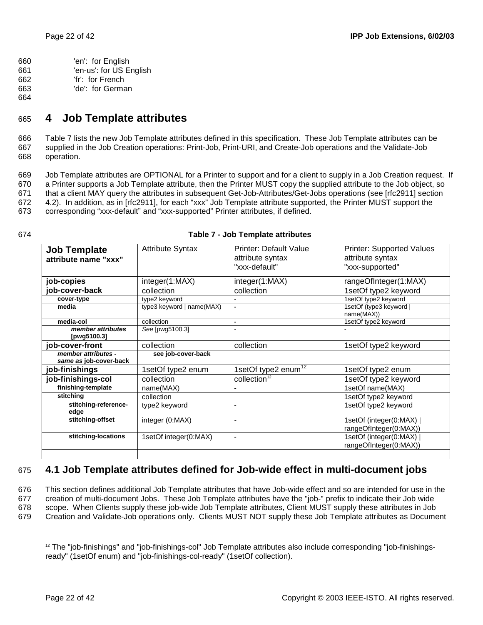660 'en': for English 661 'en-us': for US English 662 'fr': for French

- 663 'de': for German
- 664

# 665 **4 Job Template attributes**

666 Table 7 lists the new Job Template attributes defined in this specification. These Job Template attributes can be 667 supplied in the Job Creation operations: Print-Job, Print-URI, and Create-Job operations and the Validate-Job 668 operation.

669 Job Template attributes are OPTIONAL for a Printer to support and for a client to supply in a Job Creation request. If 670 a Printer supports a Job Template attribute, then the Printer MUST copy the supplied attribute to the Job object, so 671 that a client MAY query the attributes in subsequent Get-Job-Attributes/Get-Jobs operations (see [rfc2911] section 672 4.2). In addition, as in [rfc2911], for each "xxx" Job Template attribute supported, the Printer MUST support the 673 corresponding "xxx-default" and "xxx-supported" Printer attributes, if defined.

| ۰. |  |
|----|--|
|----|--|

| Table 7 - Job Template attributes |
|-----------------------------------|
|                                   |

| <b>Job Template</b><br>attribute name "xxx"   | <b>Attribute Syntax</b>   | <b>Printer: Default Value</b><br>attribute syntax<br>"xxx-default" | <b>Printer: Supported Values</b><br>attribute syntax<br>"xxx-supported" |
|-----------------------------------------------|---------------------------|--------------------------------------------------------------------|-------------------------------------------------------------------------|
|                                               |                           |                                                                    |                                                                         |
| job-copies                                    | integer(1:MAX)            | integer(1:MAX)                                                     | rangeOfInteger(1:MAX)                                                   |
| job-cover-back                                | collection                | collection                                                         | 1setOf type2 keyword                                                    |
| cover-type                                    | type2 keyword             |                                                                    | 1setOf type2 keyword                                                    |
| media                                         | type3 keyword   name(MAX) | $\blacksquare$                                                     | 1setOf (type3 keyword)<br>name(MAX))                                    |
| media-col                                     | collection                | $\overline{\phantom{0}}$                                           | 1setOf type2 keyword                                                    |
| member attributes<br>[pwg5100.3]              | See [pwg5100.3]           | $\overline{\phantom{a}}$                                           |                                                                         |
| job-cover-front                               | collection                | collection                                                         | 1setOf type2 keyword                                                    |
| member attributes -<br>same as job-cover-back | see job-cover-back        |                                                                    |                                                                         |
| job-finishings                                | 1setOf type2 enum         | 1setOf type2 enum <sup>12</sup>                                    | 1setOf type2 enum                                                       |
| job-finishings-col                            | collection                | collection <sup>12</sup>                                           | 1setOf type2 keyword                                                    |
| finishing-template                            | name(MAX)                 |                                                                    | 1setOf name(MAX)                                                        |
| stitching                                     | collection                |                                                                    | 1setOf type2 keyword                                                    |
| stitching-reference-<br>edge                  | type2 keyword             | $\blacksquare$                                                     | 1setOf type2 keyword                                                    |
| stitching-offset                              | integer (0:MAX)           | $\blacksquare$                                                     | 1setOf (integer(0:MAX)<br>rangeOfInteger(0:MAX))                        |
| stitching-locations                           | 1setOf integer(0:MAX)     | $\overline{\phantom{a}}$                                           | 1setOf (integer(0:MAX)<br>rangeOfInteger(0:MAX))                        |
|                                               |                           |                                                                    |                                                                         |

# 675 **4.1 Job Template attributes defined for Job-wide effect in multi-document jobs**

676 This section defines additional Job Template attributes that have Job-wide effect and so are intended for use in the

677 creation of multi-document Jobs. These Job Template attributes have the "job-" prefix to indicate their Job wide 678 scope. When Clients supply these job-wide Job Template attributes, Client MUST supply these attributes in Job

679 Creation and Validate-Job operations only. Clients MUST NOT supply these Job Template attributes as Document

l <sup>12</sup> The "job-finishings" and "job-finishings-col" Job Template attributes also include corresponding "job-finishingsready" (1setOf enum) and "job-finishings-col-ready" (1setOf collection).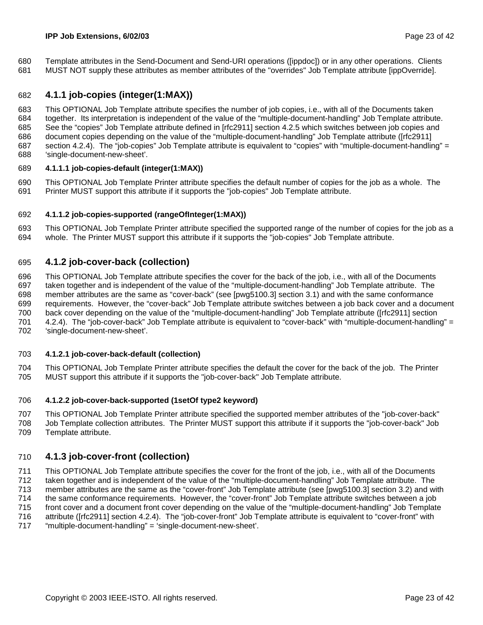680 Template attributes in the Send-Document and Send-URI operations ([ippdoc]) or in any other operations. Clients 681 MUST NOT supply these attributes as member attributes of the "overrides" Job Template attribute [ippOverride].

## 682 **4.1.1 job-copies (integer(1:MAX))**

683 This OPTIONAL Job Template attribute specifies the number of job copies, i.e., with all of the Documents taken 684 together. Its interpretation is independent of the value of the "multiple-document-handling" Job Template attribute. 685 See the "copies" Job Template attribute defined in [rfc2911] section 4.2.5 which switches between job copies and 686 document copies depending on the value of the "multiple-document-handling" Job Template attribute ([rfc2911] 687 section 4.2.4). The "job-copies" Job Template attribute is equivalent to "copies" with "multiple-document-handling" = 688 'single-document-new-sheet'.

### 689 **4.1.1.1 job-copies-default (integer(1:MAX))**

690 This OPTIONAL Job Template Printer attribute specifies the default number of copies for the job as a whole. The 691 Printer MUST support this attribute if it supports the "job-copies" Job Template attribute.

### 692 **4.1.1.2 job-copies-supported (rangeOfInteger(1:MAX))**

693 This OPTIONAL Job Template Printer attribute specified the supported range of the number of copies for the job as a 694 whole. The Printer MUST support this attribute if it supports the "job-copies" Job Template attribute.

## 695 **4.1.2 job-cover-back (collection)**

696 This OPTIONAL Job Template attribute specifies the cover for the back of the job, i.e., with all of the Documents 697 taken together and is independent of the value of the "multiple-document-handling" Job Template attribute. The 698 member attributes are the same as "cover-back" (see [pwg5100.3] section 3.1) and with the same conformance 699 requirements. However, the "cover-back" Job Template attribute switches between a job back cover and a document 700 back cover depending on the value of the "multiple-document-handling" Job Template attribute ([rfc2911] section 701 4.2.4). The "job-cover-back" Job Template attribute is equivalent to "cover-back" with "multiple-document-handling" = 702 'single-document-new-sheet'.

### 703 **4.1.2.1 job-cover-back-default (collection)**

704 This OPTIONAL Job Template Printer attribute specifies the default the cover for the back of the job. The Printer 705 MUST support this attribute if it supports the "job-cover-back" Job Template attribute.

### 706 **4.1.2.2 job-cover-back-supported (1setOf type2 keyword)**

707 This OPTIONAL Job Template Printer attribute specified the supported member attributes of the "job-cover-back" 708 Job Template collection attributes. The Printer MUST support this attribute if it supports the "job-cover-back" Job 709 Template attribute.

## 710 **4.1.3 job-cover-front (collection)**

711 This OPTIONAL Job Template attribute specifies the cover for the front of the job, i.e., with all of the Documents 712 taken together and is independent of the value of the "multiple-document-handling" Job Template attribute. The 713 member attributes are the same as the "cover-front" Job Template attribute (see [pwg5100.3] section 3.2) and with 714 the same conformance requirements. However, the "cover-front" Job Template attribute switches between a job<br>715 front cover and a document front cover depending on the value of the "multiple-document-handling" Job Temp front cover and a document front cover depending on the value of the "multiple-document-handling" Job Template 716 attribute ([rfc2911] section 4.2.4). The "job-cover-front" Job Template attribute is equivalent to "cover-front" with 717 "multiple-document-handling" = 'single-document-new-sheet'.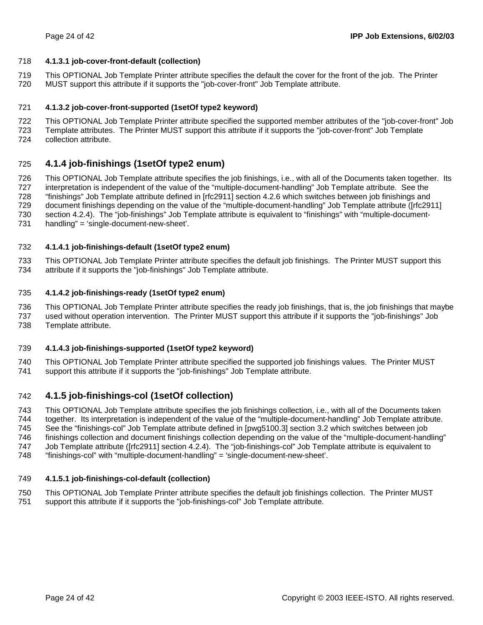### 718 **4.1.3.1 job-cover-front-default (collection)**

- 719 This OPTIONAL Job Template Printer attribute specifies the default the cover for the front of the job. The Printer
- 720 MUST support this attribute if it supports the "job-cover-front" Job Template attribute.

### 721 **4.1.3.2 job-cover-front-supported (1setOf type2 keyword)**

- 722 This OPTIONAL Job Template Printer attribute specified the supported member attributes of the "job-cover-front" Job
- 723 Template attributes. The Printer MUST support this attribute if it supports the "job-cover-front" Job Template
- 724 collection attribute.

## 725 **4.1.4 job-finishings (1setOf type2 enum)**

726 This OPTIONAL Job Template attribute specifies the job finishings, i.e., with all of the Documents taken together. Its 727 interpretation is independent of the value of the "multiple-document-handling" Job Template attribute. See the 728 "finishings" Job Template attribute defined in [rfc2911] section 4.2.6 which switches between job finishings and 729 document finishings depending on the value of the "multiple-document-handling" Job Template attribute ([rfc2911] 730 section 4.2.4). The "job-finishings" Job Template attribute is equivalent to "finishings" with "multiple-document-731 handling" = 'single-document-new-sheet'.

### 732 **4.1.4.1 job-finishings-default (1setOf type2 enum)**

733 This OPTIONAL Job Template Printer attribute specifies the default job finishings. The Printer MUST support this 734 attribute if it supports the "job-finishings" Job Template attribute.

### 735 **4.1.4.2 job-finishings-ready (1setOf type2 enum)**

736 This OPTIONAL Job Template Printer attribute specifies the ready job finishings, that is, the job finishings that maybe 737 used without operation intervention. The Printer MUST support this attribute if it supports the "job-finishings" Job 738 Template attribute.

### 739 **4.1.4.3 job-finishings-supported (1setOf type2 keyword)**

740 This OPTIONAL Job Template Printer attribute specified the supported job finishings values. The Printer MUST 741 support this attribute if it supports the "job-finishings" Job Template attribute.

## 742 **4.1.5 job-finishings-col (1setOf collection)**

743 This OPTIONAL Job Template attribute specifies the job finishings collection, i.e., with all of the Documents taken 744 together. Its interpretation is independent of the value of the "multiple-document-handling" Job Template attribute. 745 See the "finishings-col" Job Template attribute defined in [pwg5100.3] section 3.2 which switches between job 746 finishings collection and document finishings collection depending on the value of the "multiple-document-handling"

- 747 Job Template attribute ([rfc2911] section 4.2.4). The "job-finishings-col" Job Template attribute is equivalent to
- 748 "finishings-col" with "multiple-document-handling" = 'single-document-new-sheet'.

### 749 **4.1.5.1 job-finishings-col-default (collection)**

750 This OPTIONAL Job Template Printer attribute specifies the default job finishings collection. The Printer MUST 751 support this attribute if it supports the "job-finishings-col" Job Template attribute.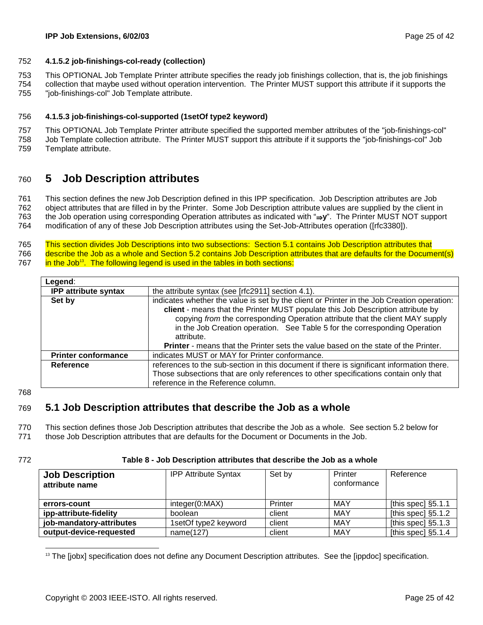### 752 **4.1.5.2 job-finishings-col-ready (collection)**

753 This OPTIONAL Job Template Printer attribute specifies the ready job finishings collection, that is, the job finishings

754 collection that maybe used without operation intervention. The Printer MUST support this attribute if it supports the 755 "job-finishings-col" Job Template attribute.

### 756 **4.1.5.3 job-finishings-col-supported (1setOf type2 keyword)**

757 This OPTIONAL Job Template Printer attribute specified the supported member attributes of the "job-finishings-col" 758 Job Template collection attribute. The Printer MUST support this attribute if it supports the "job-finishings-col" Job

759 Template attribute.

# 760 **5 Job Description attributes**

761 This section defines the new Job Description defined in this IPP specification. Job Description attributes are Job 762 object attributes that are filled in by the Printer. Some Job Description attribute values are supplied by the client in 763 the Job operation using corresponding Operation attributes as indicated with "⇒**y**". The Printer MUST NOT support 764 modification of any of these Job Description attributes using the Set-Job-Attributes operation ([rfc3380]).

765 This section divides Job Descriptions into two subsections: Section 5.1 contains Job Description attributes that 766 describe the Job as a whole and Section 5.2 contains Job Description attributes that are defaults for the Document(s) 767 **in the Job<sup>13</sup>**. The following legend is used in the tables in both sections:

| Legend:                     |                                                                                                                                                                                                                                                                                                                                                                                                                                                         |
|-----------------------------|---------------------------------------------------------------------------------------------------------------------------------------------------------------------------------------------------------------------------------------------------------------------------------------------------------------------------------------------------------------------------------------------------------------------------------------------------------|
| <b>IPP attribute syntax</b> | the attribute syntax (see [rfc2911] section 4.1).                                                                                                                                                                                                                                                                                                                                                                                                       |
| Set by                      | indicates whether the value is set by the client or Printer in the Job Creation operation:<br>client - means that the Printer MUST populate this Job Description attribute by<br>copying from the corresponding Operation attribute that the client MAY supply<br>in the Job Creation operation. See Table 5 for the corresponding Operation<br>attribute.<br><b>Printer</b> - means that the Printer sets the value based on the state of the Printer. |
| <b>Printer conformance</b>  | indicates MUST or MAY for Printer conformance.                                                                                                                                                                                                                                                                                                                                                                                                          |
| Reference                   | references to the sub-section in this document if there is significant information there.<br>Those subsections that are only references to other specifications contain only that<br>reference in the Reference column.                                                                                                                                                                                                                                 |

768

# 769 **5.1 Job Description attributes that describe the Job as a whole**

770 This section defines those Job Description attributes that describe the Job as a whole. See section 5.2 below for

771 those Job Description attributes that are defaults for the Document or Documents in the Job.

l

### 772 **Table 8 - Job Description attributes that describe the Job as a whole**

| <b>Job Description</b><br>attribute name | <b>IPP Attribute Syntax</b> | Set by  | Printer<br>conformance | Reference             |
|------------------------------------------|-----------------------------|---------|------------------------|-----------------------|
| errors-count                             | integer(0:MAX)              | Printer | MAY                    | [this spec] $\S5.1.1$ |
| ipp-attribute-fidelity                   | boolean                     | client  | MAY                    | [this spec] $\S5.1.2$ |
| job-mandatory-attributes                 | 1setOf type2 keyword        | client  | MAY                    | [this spec] $\S5.1.3$ |
| output-device-requested                  | name(127)                   | client  | MAY                    | [this spec] $\S5.1.4$ |

<sup>&</sup>lt;sup>13</sup> The [jobx] specification does not define any Document Description attributes. See the [ippdoc] specification.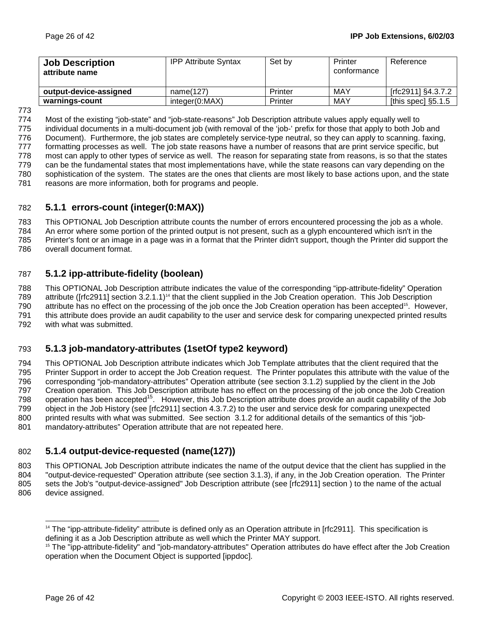| <b>Job Description</b><br>attribute name | <b>IPP Attribute Syntax</b> | Set by  | Printer<br>conformance | Reference             |
|------------------------------------------|-----------------------------|---------|------------------------|-----------------------|
| output-device-assigned                   | name(127)                   | Printer | MAY                    | [rfc2911] §4.3.7.2    |
| warnings-count                           | integer(0:MAX)              | Printer | MAY                    | [this spec] $\S5.1.5$ |

773

774 Most of the existing "job-state" and "job-state-reasons" Job Description attribute values apply equally well to 775 individual documents in a multi-document job (with removal of the 'job-' prefix for those that apply to both Job and 776 Document). Furthermore, the job states are completely service-type neutral, so they can apply to scanning. faxing, 777 formatting processes as well. The job state reasons have a number of reasons that are print service specific, but 778 most can apply to other types of service as well. The reason for separating state from reasons, is so that the states 779 can be the fundamental states that most implementations have, while the state reasons can vary depending on the 780 sophistication of the system. The states are the ones that clients are most likely to base actions upon, and the state 781 reasons are more information, both for programs and people.

## 782 **5.1.1 errors-count (integer(0:MAX))**

783 This OPTIONAL Job Description attribute counts the number of errors encountered processing the job as a whole. 784 An error where some portion of the printed output is not present, such as a glyph encountered which isn't in the

785 Printer's font or an image in a page was in a format that the Printer didn't support, though the Printer did support the

786 overall document format.

# 787 **5.1.2 ipp-attribute-fidelity (boolean)**

788 This OPTIONAL Job Description attribute indicates the value of the corresponding "ipp-attribute-fidelity" Operation 789 attribute ( $[rfc2911]$  section 3.2.1.1)<sup>14</sup> that the client supplied in the Job Creation operation. This Job Description 790 attribute has no effect on the processing of the job once the Job Creation operation has been accepted<sup>15</sup>. However, 791 this attribute does provide an audit capability to the user and service desk for comparing unexpected printed results 792 with what was submitted.

# 793 **5.1.3 job-mandatory-attributes (1setOf type2 keyword)**

794 This OPTIONAL Job Description attribute indicates which Job Template attributes that the client required that the 795 Printer Support in order to accept the Job Creation request. The Printer populates this attribute with the value of the 796 corresponding "job-mandatory-attributes" Operation attribute (see section 3.1.2) supplied by the client in the Job 797 Creation operation. This Job Description attribute has no effect on the processing of the job once the Job Creation 798 operation has been accepted<sup>15</sup>. However, this Job Description attribute does provide an audit capability of the Job 799 object in the Job History (see [rfc2911] section 4.3.7.2) to the user and service desk for comparing unexpected 800 printed results with what was submitted. See section 3.1.2 for additional details of the semantics of this "job-801 mandatory-attributes" Operation attribute that are not repeated here.

# 802 **5.1.4 output-device-requested (name(127))**

803 This OPTIONAL Job Description attribute indicates the name of the output device that the client has supplied in the 804 "output-device-requested" Operation attribute (see section 3.1.3), if any, in the Job Creation operation. The Printer 805 sets the Job's "output-device-assigned" Job Description attribute (see [rfc2911] section ) to the name of the actual 806 device assigned.

l

<sup>&</sup>lt;sup>14</sup> The "ipp-attribute-fidelity" attribute is defined only as an Operation attribute in [rfc2911]. This specification is defining it as a Job Description attribute as well which the Printer MAY support.

<sup>&</sup>lt;sup>15</sup> The "ipp-attribute-fidelity" and "job-mandatory-attributes" Operation attributes do have effect after the Job Creation operation when the Document Object is supported [ippdoc].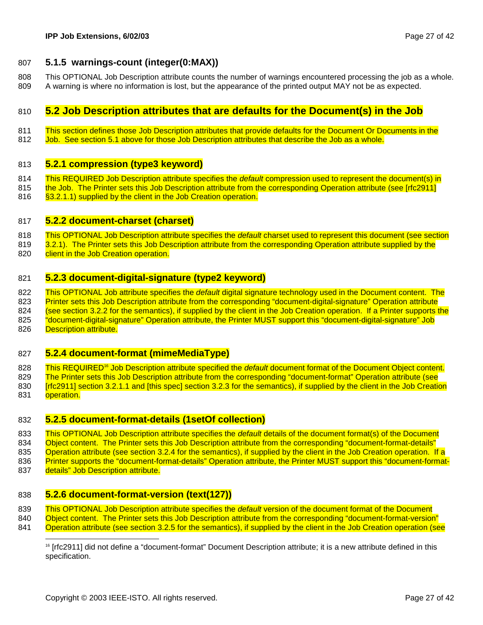## 807 **5.1.5 warnings-count (integer(0:MAX))**

808 This OPTIONAL Job Description attribute counts the number of warnings encountered processing the job as a whole. 809 A warning is where no information is lost, but the appearance of the printed output MAY not be as expected.

## 810 **5.2 Job Description attributes that are defaults for the Document(s) in the Job**

- 811 This section defines those Job Description attributes that provide defaults for the Document Or Documents in the
- 812 Job. See section 5.1 above for those Job Description attributes that describe the Job as a whole.

### 813 **5.2.1 compression (type3 keyword)**

- 814 This REQUIRED Job Description attribute specifies the *default* compression used to represent the document(s) in
- 815 the Job. The Printer sets this Job Description attribute from the corresponding Operation attribute (see [rfc2911]<br>816 S3.2.1.1) supplied by the client in the Job Creation operation. §3.2.1.1) supplied by the client in the Job Creation operation.
- 817 **5.2.2 document-charset (charset)**
- 818 This OPTIONAL Job Description attribute specifies the *default* charset used to represent this document (see section
- 819 3.2.1). The Printer sets this Job Description attribute from the corresponding Operation attribute supplied by the 820 client in the Job Creation operation.
- 

### 821 **5.2.3 document-digital-signature (type2 keyword)**

822 This OPTIONAL Job attribute specifies the *default* digital signature technology used in the Document content. The 823 Printer sets this Job Description attribute from the corresponding "document-digital-signature" Operation attribute 824 (see section 3.2.2 for the semantics), if supplied by the client in the Job Creation operation. If a Printer supports the 825 "document-digital-signature" Operation attribute, the Printer MUST support this "document-digital-signature" Job 826 Description attribute.

## 827 **5.2.4 document-format (mimeMediaType)**

828 This REQUIRED<sup>16</sup> Job Description attribute specified the *default* document format of the Document Object content. 829 The Printer sets this Job Description attribute from the corresponding "document-format" Operation attribute (see 830 [rfc2911] section 3.2.1.1 and [this spec] section 3.2.3 for the semantics), if supplied by the client in the Job Creation 831 operation.

### 832 **5.2.5 document-format-details (1setOf collection)**

833 This OPTIONAL Job Description attribute specifies the *default* details of the document format(s) of the Document 834 Object content. The Printer sets this Job Description attribute from the corresponding "document-format-details" 835 Operation attribute (see section 3.2.4 for the semantics), if supplied by the client in the Job Creation operation. If a 836 Printer supports the "document-format-details" Operation attribute, the Printer MUST support this "document-format-

837 details" Job Description attribute.

l

## 838 **5.2.6 document-format-version (text(127))**

839 This OPTIONAL Job Description attribute specifies the *default* version of the document format of the Document

840 Object content. The Printer sets this Job Description attribute from the corresponding "document-format-version"

841 Operation attribute (see section 3.2.5 for the semantics), if supplied by the client in the Job Creation operation (see

<sup>16 [</sup>rfc2911] did not define a "document-format" Document Description attribute; it is a new attribute defined in this specification.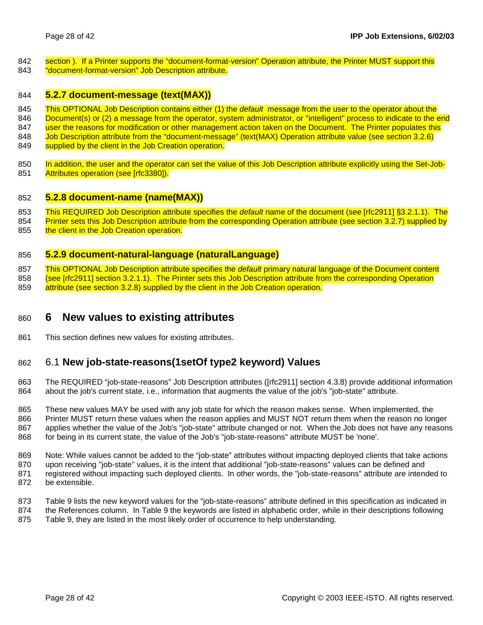- 842 section ). If a Printer supports the "document-format-version" Operation attribute, the Printer MUST support this 843 "document-format-version" Job Description attribute.
- 
- 844 **5.2.7 document-message (text(MAX))**
- 845 This OPTIONAL Job Description contains either (1) the *default* message from the user to the operator about the 846 Document(s) or (2) a message from the operator, system administrator, or "intelligent" process to indicate to the end
- 847 user the reasons for modification or other management action taken on the Document. The Printer populates this
- 848 Job Description attribute from the "document-message" (text(MAX) Operation attribute value (see section 3.2.6)
- 849 supplied by the client in the Job Creation operation.
- 850 In addition, the user and the operator can set the value of this Job Description attribute explicitly using the Set-Job-851 Attributes operation (see [rfc3380]).

### 852 **5.2.8 document-name (name(MAX))**

- 853 This REQUIRED Job Description attribute specifies the *default* name of the document (see [rfc2911] §3.2.1.1). The
- 854 Printer sets this Job Description attribute from the corresponding Operation attribute (see section 3.2.7) supplied by 855 the client in the Job Creation operation.

### 856 **5.2.9 document-natural-language (naturalLanguage)**

857 This OPTIONAL Job Description attribute specifies the *default* primary natural language of the Document content 858 (see [rfc2911] section 3.2.1.1). The Printer sets this Job Description attribute from the corresponding Operation 859 attribute (see section 3.2.8) supplied by the client in the Job Creation operation.

# 860 **6 New values to existing attributes**

861 This section defines new values for existing attributes.

## 862 6.1 **New job-state-reasons(1setOf type2 keyword) Values**

863 The REQUIRED "job-state-reasons" Job Description attributes ([rfc2911] section 4.3.8) provide additional information 864 about the job's current state, i.e., information that augments the value of the job's "job-state" attribute.

865 These new values MAY be used with any job state for which the reason makes sense. When implemented, the 866 Printer MUST return these values when the reason applies and MUST NOT return them when the reason no longer 867 applies whether the value of the Job's "job-state" attribute changed or not. When the Job does not have any reasons 868 for being in its current state, the value of the Job's "job-state-reasons" attribute MUST be 'none'.

869 Note: While values cannot be added to the "job-state" attributes without impacting deployed clients that take actions 870 upon receiving "job-state" values, it is the intent that additional "job-state-reasons" values can be defined and 871 registered without impacting such deployed clients. In other words, the "job-state-reasons" attribute are intended to 872 be extensible.

- 873 Table 9 lists the new keyword values for the "job-state-reasons" attribute defined in this specification as indicated in
- 874 the References column. In Table 9 the keywords are listed in alphabetic order, while in their descriptions following
- 875 Table 9, they are listed in the most likely order of occurrence to help understanding.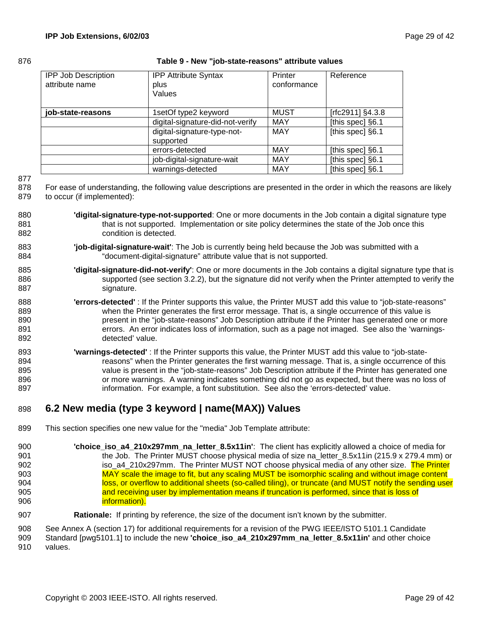### 876 **Table 9 - New "job-state-reasons" attribute values**

| <b>IPP Job Description</b><br>attribute name | <b>IPP Attribute Syntax</b><br>plus<br>Values | Printer<br>conformance | Reference        |
|----------------------------------------------|-----------------------------------------------|------------------------|------------------|
| job-state-reasons                            | 1setOf type2 keyword                          | <b>MUST</b>            | [rfc2911] §4.3.8 |
|                                              | digital-signature-did-not-verify              | <b>MAY</b>             | [this spec] §6.1 |
|                                              | digital-signature-type-not-<br>supported      | <b>MAY</b>             | [this spec] §6.1 |
|                                              | errors-detected                               | <b>MAY</b>             | [this spec] §6.1 |
|                                              | job-digital-signature-wait                    | <b>MAY</b>             | [this spec] §6.1 |
|                                              | warnings-detected                             | <b>MAY</b>             | [this spec] §6.1 |

877

878 For ease of understanding, the following value descriptions are presented in the order in which the reasons are likely 879 to occur (if implemented):

- 880 **'digital-signature-type-not-supported**: One or more documents in the Job contain a digital signature type 881 that is not supported. Implementation or site policy determines the state of the Job once this 882 condition is detected.
- 883 **'job-digital-signature-wait'**: The Job is currently being held because the Job was submitted with a 884 "document-digital-signature" attribute value that is not supported.
- 885 **'digital-signature-did-not-verify'**: One or more documents in the Job contains a digital signature type that is 886 supported (see section 3.2.2), but the signature did not verify when the Printer attempted to verify the 887 signature.
- 888 **'errors-detected'** : If the Printer supports this value, the Printer MUST add this value to "job-state-reasons" 889 when the Printer generates the first error message. That is, a single occurrence of this value is 890 **present in the "job-state-reasons"** Job Description attribute if the Printer has generated one or more 891 errors. An error indicates loss of information, such as a page not imaged. See also the 'warnings-892 detected' value.
- 893 **'warnings-detected'** : If the Printer supports this value, the Printer MUST add this value to "job-state-894 reasons" when the Printer generates the first warning message. That is, a single occurrence of this 895 value is present in the "job-state-reasons" Job Description attribute if the Printer has generated one 896 or more warnings. A warning indicates something did not go as expected, but there was no loss of 897 information. For example, a font substitution. See also the 'errors-detected' value.

# 898 **6.2 New media (type 3 keyword | name(MAX)) Values**

- 899 This section specifies one new value for the "media" Job Template attribute:
- 900 **'choice\_iso\_a4\_210x297mm\_na\_letter\_8.5x11in'**: The client has explicitly allowed a choice of media for 901 the Job. The Printer MUST choose physical media of size na letter 8.5x11in (215.9 x 279.4 mm) or 902 iso\_a4\_210x297mm. The Printer MUST NOT choose physical media of any other size. The Printer 903 MAY scale the image to fit, but any scaling MUST be isomorphic scaling and without image content 904 **Ioss, or overflow to additional sheets (so-called tiling), or truncate (and MUST notify the sending user** 905 and receiving user by implementation means if truncation is performed, since that is loss of 906 **information**).
- 907 **Rationale:** If printing by reference, the size of the document isn't known by the submitter.

908 See Annex A (section 17) for additional requirements for a revision of the PWG IEEE/ISTO 5101.1 Candidate 909 Standard [pwg5101.1] to include the new **'choice\_iso\_a4\_210x297mm\_na\_letter\_8.5x11in'** and other choice 910 values.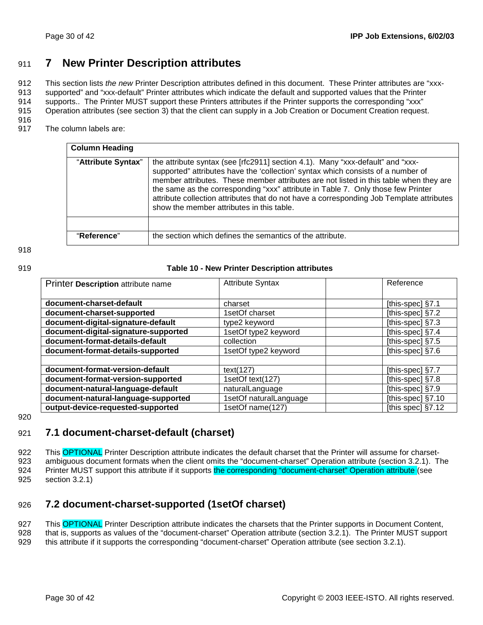# 911 **7 New Printer Description attributes**

912 This section lists *the new* Printer Description attributes defined in this document. These Printer attributes are "xxx-913 supported" and "xxx-default" Printer attributes which indicate the default and supported values that the Printer

914 supports.. The Printer MUST support these Printers attributes if the Printer supports the corresponding "xxx"

915 Operation attributes (see section 3) that the client can supply in a Job Creation or Document Creation request.

916

917 The column labels are:

| <b>Column Heading</b> |                                                                                                                                                                                                                                                                                                                                                                                                                                                                                          |
|-----------------------|------------------------------------------------------------------------------------------------------------------------------------------------------------------------------------------------------------------------------------------------------------------------------------------------------------------------------------------------------------------------------------------------------------------------------------------------------------------------------------------|
| "Attribute Syntax"    | the attribute syntax (see [rfc2911] section 4.1). Many "xxx-default" and "xxx-<br>supported" attributes have the 'collection' syntax which consists of a number of<br>member attributes. These member attributes are not listed in this table when they are<br>the same as the corresponding "xxx" attribute in Table 7. Only those few Printer<br>attribute collection attributes that do not have a corresponding Job Template attributes<br>show the member attributes in this table. |
|                       |                                                                                                                                                                                                                                                                                                                                                                                                                                                                                          |
| "Reference"           | the section which defines the semantics of the attribute.                                                                                                                                                                                                                                                                                                                                                                                                                                |

#### 918

#### 919 **Table 10 - New Printer Description attributes**

| Printer Description attribute name   | <b>Attribute Syntax</b> | Reference           |
|--------------------------------------|-------------------------|---------------------|
|                                      |                         |                     |
| document-charset-default             | charset                 | [this-spec] §7.1    |
| document-charset-supported           | 1setOf charset          | [this-spec] §7.2    |
| document-digital-signature-default   | type2 keyword           | [this-spec] $§7.3$  |
| document-digital-signature-supported | 1setOf type2 keyword    | [this-spec] §7.4    |
| document-format-details-default      | collection              | [this-spec] $§7.5$  |
| document-format-details-supported    | 1setOf type2 keyword    | [this-spec] $§7.6$  |
|                                      |                         |                     |
| document-format-version-default      | text(127)               | [this-spec] §7.7    |
| document-format-version-supported    | 1setOf text(127)        | [this-spec] $§7.8$  |
| document-natural-language-default    | naturalLanguage         | [this-spec] §7.9    |
| document-natural-language-supported  | 1setOf naturalLanguage  | [this-spec] $§7.10$ |
| output-device-requested-supported    | 1setOf name(127)        | [this spec] §7.12   |

### 920

## 921 **7.1 document-charset-default (charset)**

922 This OPTIONAL Printer Description attribute indicates the default charset that the Printer will assume for charset-923 ambiguous document formats when the client omits the "document-charset" Operation attribute (section 3.2.1). The 924 Printer MUST support this attribute if it supports the corresponding "document-charset" Operation attribute (see 925 section 3.2.1)

# 926 **7.2 document-charset-supported (1setOf charset)**

927 This OPTIONAL Printer Description attribute indicates the charsets that the Printer supports in Document Content,

928 that is, supports as values of the "document-charset" Operation attribute (section 3.2.1). The Printer MUST support

929 this attribute if it supports the corresponding "document-charset" Operation attribute (see section 3.2.1).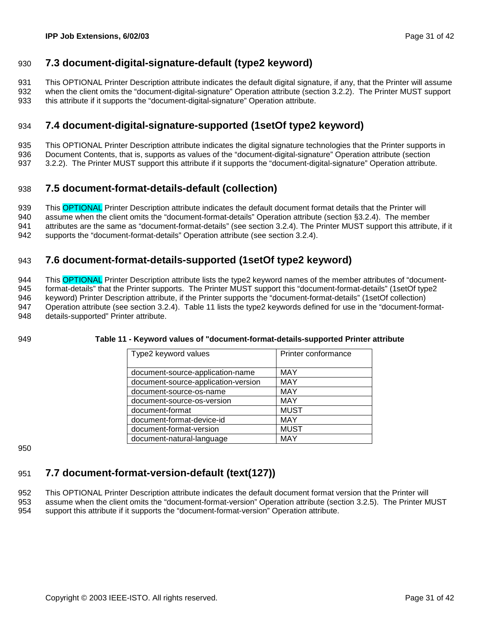# 930 **7.3 document-digital-signature-default (type2 keyword)**

931 This OPTIONAL Printer Description attribute indicates the default digital signature, if any, that the Printer will assume 932 when the client omits the "document-digital-signature" Operation attribute (section 3.2.2). The Printer MUST support 933 this attribute if it supports the "document-digital-signature" Operation attribute.

# 934 **7.4 document-digital-signature-supported (1setOf type2 keyword)**

935 This OPTIONAL Printer Description attribute indicates the digital signature technologies that the Printer supports in

936 Document Contents, that is, supports as values of the "document-digital-signature" Operation attribute (section

937 3.2.2). The Printer MUST support this attribute if it supports the "document-digital-signature" Operation attribute.

# 938 **7.5 document-format-details-default (collection)**

939 This OPTIONAL Printer Description attribute indicates the default document format details that the Printer will 940 assume when the client omits the "document-format-details" Operation attribute (section §3.2.4). The member 941 attributes are the same as "document-format-details" (see section 3.2.4). The Printer MUST support this attribute, if it

942 supports the "document-format-details" Operation attribute (see section 3.2.4).

# 943 **7.6 document-format-details-supported (1setOf type2 keyword)**

944 This OPTIONAL Printer Description attribute lists the type2 keyword names of the member attributes of "document-945 format-details" that the Printer supports. The Printer MUST support this "document-format-details" (1setOf type2 946 keyword) Printer Description attribute, if the Printer supports the "document-format-details" (1setOf collection) 947 Operation attribute (see section 3.2.4). Table 11 lists the type2 keywords defined for use in the "document-format-948 details-supported" Printer attribute.

### 949 **Table 11 - Keyword values of "document-format-details-supported Printer attribute**

| Type2 keyword values                | Printer conformance |
|-------------------------------------|---------------------|
|                                     |                     |
| document-source-application-name    | <b>MAY</b>          |
| document-source-application-version | <b>MAY</b>          |
| document-source-os-name             | <b>MAY</b>          |
| document-source-os-version          | <b>MAY</b>          |
| document-format                     | <b>MUST</b>         |
| document-format-device-id           | MAY                 |
| document-format-version             | <b>MUST</b>         |
| document-natural-language           | MAY                 |

950

# 951 **7.7 document-format-version-default (text(127))**

952 This OPTIONAL Printer Description attribute indicates the default document format version that the Printer will 953 assume when the client omits the "document-format-version" Operation attribute (section 3.2.5). The Printer MUST

954 support this attribute if it supports the "document-format-version" Operation attribute.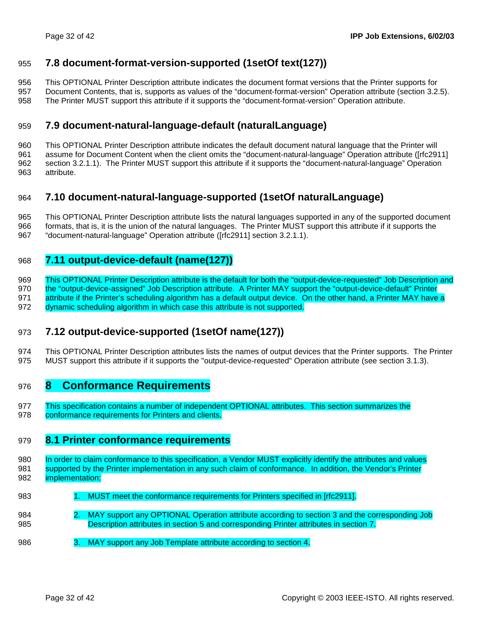## 955 **7.8 document-format-version-supported (1setOf text(127))**

956 This OPTIONAL Printer Description attribute indicates the document format versions that the Printer supports for

957 Document Contents, that is, supports as values of the "document-format-version" Operation attribute (section 3.2.5). 958 The Printer MUST support this attribute if it supports the "document-format-version" Operation attribute.

# 959 **7.9 document-natural-language-default (naturalLanguage)**

960 This OPTIONAL Printer Description attribute indicates the default document natural language that the Printer will 961 assume for Document Content when the client omits the "document-natural-language" Operation attribute ([rfc2911] 962 section 3.2.1.1). The Printer MUST support this attribute if it supports the "document-natural-language" Operation 963 attribute.

## 964 **7.10 document-natural-language-supported (1setOf naturalLanguage)**

965 This OPTIONAL Printer Description attribute lists the natural languages supported in any of the supported document

966 formats, that is, it is the union of the natural languages. The Printer MUST support this attribute if it supports the

967 "document-natural-language" Operation attribute ([rfc2911] section 3.2.1.1).

# 968 **7.11 output-device-default (name(127))**

969 This OPTIONAL Printer Description attribute is the default for both the "output-device-requested" Job Description and 970 the "output-device-assigned" Job Description attribute. A Printer MAY support the "output-device-default" Printer 971 attribute if the Printer's scheduling algorithm has a default output device. On the other hand, a Printer MAY have a 972 dynamic scheduling algorithm in which case this attribute is not supported.

# 973 **7.12 output-device-supported (1setOf name(127))**

974 This OPTIONAL Printer Description attributes lists the names of output devices that the Printer supports. The Printer 975 MUST support this attribute if it supports the "output-device-requested" Operation attribute (see section 3.1.3).

# 976 **8 Conformance Requirements**

977 This specification contains a number of independent OPTIONAL attributes. This section summarizes the 978 conformance requirements for Printers and clients.

## 979 **8.1 Printer conformance requirements**

980 In order to claim conformance to this specification, a Vendor MUST explicitly identify the attributes and values 981 supported by the Printer implementation in any such claim of conformance. In addition, the Vendor's Printer 982 implementation:

- 983 1. MUST meet the conformance requirements for Printers specified in [rfc2911].
- 984 2. MAY support any OPTIONAL Operation attribute according to section 3 and the corresponding Job 985 Description attributes in section 5 and corresponding Printer attributes in section 7.
- 986 3. MAY support any Job Template attribute according to section 4.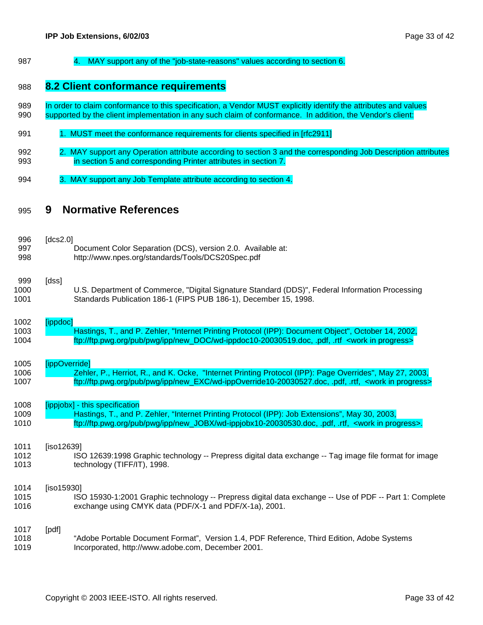987 4. MAY support any of the "job-state-reasons" values according to section 6.

## 988 **8.2 Client conformance requirements**

- 989 In order to claim conformance to this specification, a Vendor MUST explicitly identify the attributes and values 990 supported by the client implementation in any such claim of conformance. In addition, the Vendor's client:
- 991 1. MUST meet the conformance requirements for clients specified in [rfc2911]
- 992 2. MAY support any Operation attribute according to section 3 and the corresponding Job Description attributes 993 in section 5 and corresponding Printer attributes in section 7.
- 994 3. MAY support any Job Template attribute according to section 4.

# 995 **9 Normative References**

| 996<br>997<br>998    | [ $dcs2.0$ ]  | Document Color Separation (DCS), version 2.0. Available at:<br>http://www.npes.org/standards/Tools/DCS20Spec.pdf                                                                                                                                   |
|----------------------|---------------|----------------------------------------------------------------------------------------------------------------------------------------------------------------------------------------------------------------------------------------------------|
| 999<br>1000<br>1001  | [dss]         | U.S. Department of Commerce, "Digital Signature Standard (DDS)", Federal Information Processing<br>Standards Publication 186-1 (FIPS PUB 186-1), December 15, 1998.                                                                                |
| 1002<br>1003<br>1004 | [ippdoc]      | Hastings, T., and P. Zehler, "Internet Printing Protocol (IPP): Document Object", October 14, 2002,<br>ftp://ftp.pwg.org/pub/pwg/ipp/new_DOC/wd-ippdoc10-20030519.doc, .pdf, .rtf <work in="" progress=""></work>                                  |
| 1005<br>1006<br>1007 | [ippOverride] | Zehler, P., Herriot, R., and K. Ocke, "Internet Printing Protocol (IPP): Page Overrides", May 27, 2003,<br>ftp://ftp.pwg.org/pub/pwg/ipp/new_EXC/wd-ippOverride10-20030527.doc, .pdf, .rtf, <work in="" progress=""></work>                        |
| 1008<br>1009<br>1010 |               | [ippjobx] - this specification<br>Hastings, T., and P. Zehler, "Internet Printing Protocol (IPP): Job Extensions", May 30, 2003,<br>ftp://ftp.pwg.org/pub/pwg/ipp/new_JOBX/wd-ippjobx10-20030530.doc, .pdf, .rtf, <work in="" progress="">.</work> |
| 1011<br>1012<br>1013 | [iso12639]    | ISO 12639:1998 Graphic technology -- Prepress digital data exchange -- Tag image file format for image<br>technology (TIFF/IT), 1998.                                                                                                              |
| 1014<br>1015<br>1016 | [iso15930]    | ISO 15930-1:2001 Graphic technology -- Prepress digital data exchange -- Use of PDF -- Part 1: Complete<br>exchange using CMYK data (PDF/X-1 and PDF/X-1a), 2001.                                                                                  |
| 1017<br>1018<br>1019 | [pdf]         | "Adobe Portable Document Format", Version 1.4, PDF Reference, Third Edition, Adobe Systems<br>Incorporated, http://www.adobe.com, December 2001.                                                                                                   |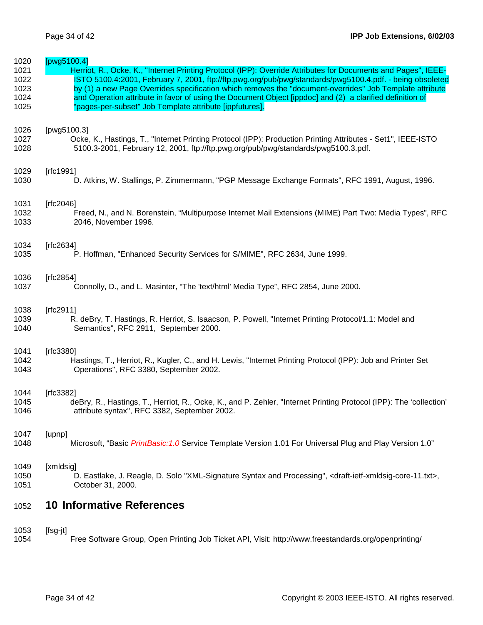| 1020<br>1021 | [ $pvg5100.4$ ]<br>Herriot, R., Ocke, K., "Internet Printing Protocol (IPP): Override Attributes for Documents and Pages", IEEE-                                |
|--------------|-----------------------------------------------------------------------------------------------------------------------------------------------------------------|
| 1022         | ISTO 5100.4:2001, February 7, 2001, ftp://ftp.pwg.org/pub/pwg/standards/pwg5100.4.pdf. - being obsoleted                                                        |
| 1023         | by (1) a new Page Overrides specification which removes the "document-overrides" Job Template attribute                                                         |
| 1024         | and Operation attribute in favor of using the Document Object [ippdoc] and (2) a clarified definition of                                                        |
| 1025         | "pages-per-subset" Job Template attribute [ippfutures].                                                                                                         |
| 1026         | [pwg5100.3]                                                                                                                                                     |
| 1027         | Ocke, K., Hastings, T., "Internet Printing Protocol (IPP): Production Printing Attributes - Set1", IEEE-ISTO                                                    |
| 1028         | 5100.3-2001, February 12, 2001, ftp://ftp.pwg.org/pub/pwg/standards/pwg5100.3.pdf.                                                                              |
| 1029         | [ $rfc1991$ ]                                                                                                                                                   |
| 1030         | D. Atkins, W. Stallings, P. Zimmermann, "PGP Message Exchange Formats", RFC 1991, August, 1996.                                                                 |
| 1031         | [ $rfc2046$ ]                                                                                                                                                   |
| 1032         | Freed, N., and N. Borenstein, "Multipurpose Internet Mail Extensions (MIME) Part Two: Media Types", RFC                                                         |
| 1033         | 2046, November 1996.                                                                                                                                            |
| 1034         | [ $rfc2634$ ]                                                                                                                                                   |
| 1035         | P. Hoffman, "Enhanced Security Services for S/MIME", RFC 2634, June 1999.                                                                                       |
| 1036         | [rfc2854]                                                                                                                                                       |
| 1037         | Connolly, D., and L. Masinter, "The 'text/html' Media Type", RFC 2854, June 2000.                                                                               |
| 1038         | [ $rfc2911$ ]                                                                                                                                                   |
| 1039         | R. deBry, T. Hastings, R. Herriot, S. Isaacson, P. Powell, "Internet Printing Protocol/1.1: Model and                                                           |
| 1040         | Semantics", RFC 2911, September 2000.                                                                                                                           |
| 1041         | [ $rfc3380$ ]                                                                                                                                                   |
| 1042         | Hastings, T., Herriot, R., Kugler, C., and H. Lewis, "Internet Printing Protocol (IPP): Job and Printer Set                                                     |
| 1043         | Operations", RFC 3380, September 2002.                                                                                                                          |
| 1044         | [ $rfc3382$ ]                                                                                                                                                   |
| 1045         | deBry, R., Hastings, T., Herriot, R., Ocke, K., and P. Zehler, "Internet Printing Protocol (IPP): The 'collection'                                              |
| 1046         | attribute syntax", RFC 3382, September 2002.                                                                                                                    |
| 1047         | [upnp]                                                                                                                                                          |
| 1048         | Microsoft, "Basic PrintBasic: 1.0 Service Template Version 1.01 For Universal Plug and Play Version 1.0"                                                        |
| 1049         | [xmldsig]                                                                                                                                                       |
| 1050<br>1051 | D. Eastlake, J. Reagle, D. Solo "XML-Signature Syntax and Processing", <draft-ietf-xmldsig-core-11.txt>,<br/>October 31, 2000.</draft-ietf-xmldsig-core-11.txt> |
|              |                                                                                                                                                                 |
| 1052         | <b>10 Informative References</b>                                                                                                                                |
| 1052         | $If$ c $\sim$ $\sim$ $\sim$ $\sim$ $\sim$ $\sim$                                                                                                                |

1053 [fsg-jt] 1054 Free Software Group, Open Printing Job Ticket API, Visit: http://www.freestandards.org/openprinting/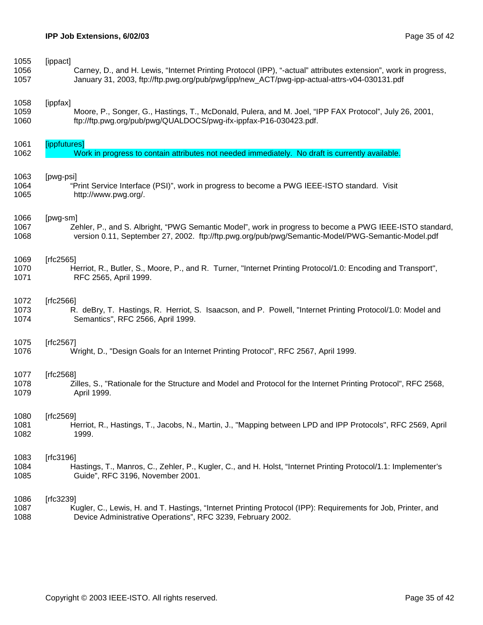| 1055 | [ippact]                                                                                                        |
|------|-----------------------------------------------------------------------------------------------------------------|
| 1056 | Carney, D., and H. Lewis, "Internet Printing Protocol (IPP), "-actual" attributes extension", work in progress, |
| 1057 | January 31, 2003, ftp://ftp.pwg.org/pub/pwg/ipp/new_ACT/pwg-ipp-actual-attrs-v04-030131.pdf                     |
| 1058 | [ippfax]                                                                                                        |
| 1059 | Moore, P., Songer, G., Hastings, T., McDonald, Pulera, and M. Joel, "IPP FAX Protocol", July 26, 2001,          |
| 1060 | ftp://ftp.pwg.org/pub/pwg/QUALDOCS/pwg-ifx-ippfax-P16-030423.pdf.                                               |
| 1061 | [ippfutures]                                                                                                    |
| 1062 | Work in progress to contain attributes not needed immediately. No draft is currently available.                 |
| 1063 | [pwg-psi]                                                                                                       |
| 1064 | "Print Service Interface (PSI)", work in progress to become a PWG IEEE-ISTO standard. Visit                     |
| 1065 | http://www.pwg.org/.                                                                                            |
| 1066 | [pwg-sm]                                                                                                        |
| 1067 | Zehler, P., and S. Albright, "PWG Semantic Model", work in progress to become a PWG IEEE-ISTO standard,         |
| 1068 | version 0.11, September 27, 2002. ftp://ftp.pwg.org/pub/pwg/Semantic-Model/PWG-Semantic-Model.pdf               |
| 1069 | [ $rfc2565$ ]                                                                                                   |
| 1070 | Herriot, R., Butler, S., Moore, P., and R. Turner, "Internet Printing Protocol/1.0: Encoding and Transport",    |
| 1071 | RFC 2565, April 1999.                                                                                           |
| 1072 | [ $rfc2566$ ]                                                                                                   |
| 1073 | R. deBry, T. Hastings, R. Herriot, S. Isaacson, and P. Powell, "Internet Printing Protocol/1.0: Model and       |
| 1074 | Semantics", RFC 2566, April 1999.                                                                               |
| 1075 | [ $rfc2567$ ]                                                                                                   |
| 1076 | Wright, D., "Design Goals for an Internet Printing Protocol", RFC 2567, April 1999.                             |
| 1077 | [rfc2568]                                                                                                       |
| 1078 | Zilles, S., "Rationale for the Structure and Model and Protocol for the Internet Printing Protocol", RFC 2568,  |
| 1079 | April 1999.                                                                                                     |
| 1080 | [ $rfc2569$ ]                                                                                                   |
| 1081 | Herriot, R., Hastings, T., Jacobs, N., Martin, J., "Mapping between LPD and IPP Protocols", RFC 2569, April     |
| 1082 | 1999.                                                                                                           |
| 1083 | [ $rfc3196$ ]                                                                                                   |
| 1084 | Hastings, T., Manros, C., Zehler, P., Kugler, C., and H. Holst, "Internet Printing Protocol/1.1: Implementer's  |
| 1085 | Guide", RFC 3196, November 2001.                                                                                |
| 1086 | [ $rfc3239$ ]                                                                                                   |
| 1087 | Kugler, C., Lewis, H. and T. Hastings, "Internet Printing Protocol (IPP): Requirements for Job, Printer, and    |
| 1088 | Device Administrative Operations", RFC 3239, February 2002.                                                     |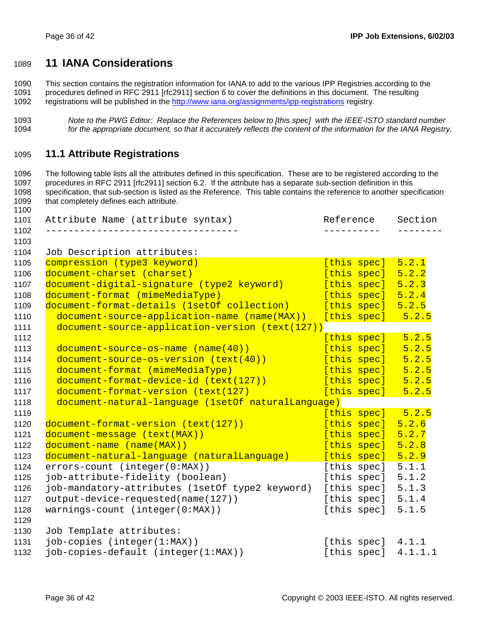# **11 IANA Considerations**

1090 This section contains the registration information for IANA to add to the various IPP Registries according to the 1091 procedures defined in RFC 2911 [rfc2911] section 6 to cover the definitions in this document. The resulting

1092 registrations will be published in the http://www.iana.org/assignments/ipp-registrations registry.

## **11.1 Attribute Registrations**

1096 The following table lists all the attributes defined in this specification. These are to be registered according to the 1097 procedures in RFC 2911 [rfc2911] section 6.2. If the attribute has a separate sub-section definition in this 1098 specification, that sub-section is listed as the Reference. This table contains the reference to another specification 1099 that completely defines each attribute.

| 1101         | Attribute Name (attribute syntax)                              | Reference             | Section |
|--------------|----------------------------------------------------------------|-----------------------|---------|
| 1102         |                                                                |                       |         |
| 1103<br>1104 | Job Description attributes:                                    |                       |         |
| 1105         | compression (type3 keyword)                                    | [this spec]           | 5.2.1   |
| 1106         | document-charset (charset)                                     | [this spec]           | 5.2.2   |
| 1107         | document-digital-signature (type2 keyword)                     | [this spec]           | 5.2.3   |
| 1108         | document-format (mimeMediaType)                                | [this spec]           | 5.2.4   |
| 1109         | document-format-details (1setOf collection)                    | [this spec]           | 5.2.5   |
| 1110         | document-source-application-name (name(MAX)) [this spec] 5.2.5 |                       |         |
| 1111         | document-source-application-version (text(127))                |                       |         |
| 1112         |                                                                | [this spec]           | 5.2.5   |
| 1113         | document-source-os-name (name(40))                             | [this spec]           | 5.2.5   |
| 1114         | document-source-os-version (text(40))                          | [this spec]           | 5.2.5   |
| 1115         | document-format (mimeMediaType)                                | $[this spec]$ 5.2.5   |         |
| 1116         | document-format-device-id (text(127))                          | [this spec] 5.2.5     |         |
| 1117         | document-format-version (text(127)                             | [this spec]           | 5.2.5   |
| 1118         | document-natural-language (1setOf naturalLanguage)             |                       |         |
| 1119         |                                                                | [this spec] 5.2.5     |         |
| 1120         | document-format-version (text(127))                            | [this spec]           | 5.2.6   |
| 1121         | document-message (text(MAX))                                   | [this spec]           | 5.2.7   |
| 1122         | document-name (name(MAX))                                      | [this spec]           | 5.2.8   |
| 1123         | document-natural-language (naturalLanguage)                    | [this spec]           | 5.2.9   |
| 1124         | errors-count (integer(0:MAX))                                  | [this spec]           | 5.1.1   |
| 1125         | job-attribute-fidelity (boolean)                               | [this spec]           | 5.1.2   |
| 1126         | job-mandatory-attributes (1setOf type2 keyword)                | [this spec]           | 5.1.3   |
| 1127         | output-device-requested(name(127))                             | [this spec]           | 5.1.4   |
| 1128         | $warnings-count (integer(0:MAX))$                              | [this spec]           | 5.1.5   |
| 1129         |                                                                |                       |         |
| 1130         | Job Template attributes:                                       |                       |         |
| 1131         | job-copies (integer(1:MAX))                                    | [this spec] 4.1.1     |         |
| 1132         | job-copies-default (integer(1:MAX))                            | [this spec] $4.1.1.1$ |         |
|              |                                                                |                       |         |

*Note to the PWG Editor: Replace the References below to [this spec] with the IEEE-ISTO standard number for the appropriate document, so that it accurately reflects the content of the information for the IANA Registry.*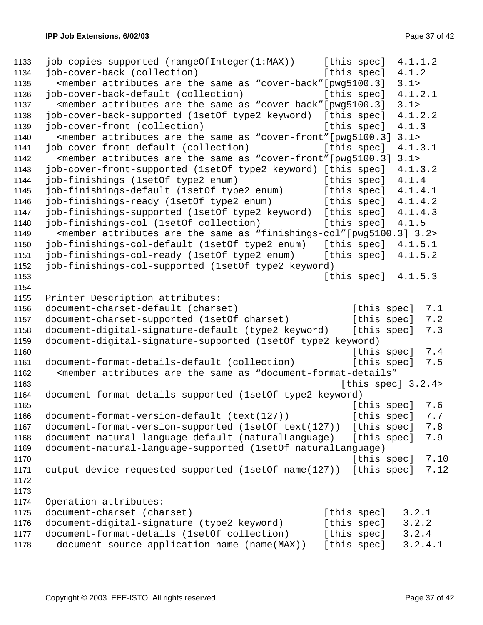```
1133 job-copies-supported (rangeOfInteger(1:MAX)) [this spec] 4.1.1.2 
1134 job-cover-back (collection) [this spec] 4.1.2 
1135 <member attributes are the same as "cover-back"[pwg5100.3] 3.1> 
1136 job-cover-back-default (collection) [this spec] 4.1.2.1 
1137 <member attributes are the same as "cover-back"[pwg5100.3] 3.1> 
1138 job-cover-back-supported (1setOf type2 keyword) [this spec] 4.1.2.2 
1139 job-cover-front (collection) [this spec] 4.1.3 
1140 <member attributes are the same as "cover-front"[pwg5100.3] 3.1> 
1141 job-cover-front-default (collection) [this spec] 4.1.3.1 
1142 <member attributes are the same as "cover-front"[pwg5100.3] 3.1> 
1143 job-cover-front-supported (1setOf type2 keyword) [this spec] 4.1.3.2 
1144 job-finishings (1setOf type2 enum) [this spec] 4.1.4
1145 job-finishings-default (1setOf type2 enum) [this spec] 4.1.4.1 
1146 job-finishings-ready (1setOf type2 enum) [this spec] 4.1.4.2 
1147 job-finishings-supported (1setOf type2 keyword) [this spec] 4.1.4.3 
1148 job-finishings-col (1setOf collection) [this spec] 4.1.5 
1149 <member attributes are the same as "finishings-col"[pwg5100.3] 3.2> 
1150 job-finishings-col-default (1setOf type2 enum) [this spec] 4.1.5.1 
1151 job-finishings-col-ready (1setOf type2 enum) [this spec] 4.1.5.2 
1152 job-finishings-col-supported (1setOf type2 keyword) 
1153 [this \text{ spec}] 4.1.5.3
1154 
1155 Printer Description attributes: 
1156 document-charset-default (charset) [this spec] 7.1
1157 document-charset-supported (1setOf charset) [this spec] 7.2 
1158 document-digital-signature-default (type2 keyword) [this spec] 7.3 
1159 document-digital-signature-supported (1setOf type2 keyword) 
1160 Intervention Contract Contract Contract Contract Contract Contract Contract Contract Contract Contract Contract Contract Contract Contract Contract Contract Contract Contract Contract Contract Contract Contract Contr
1161 document-format-details-default (collection) [this spec] 7.5 
1162 <member attributes are the same as "document-format-details" 
1163 Intervention Contract Contract Contract Contract Contract Contract Contract Contract Contract Contract Contract Contract Contract Contract Contract Contract Contract Contract Contract Contract Contract Contract Contr
1164 document-format-details-supported (1setOf type2 keyword) 
1165 1165 1165 1165
1166 document-format-version-default (text(127)) [this spec] 7.7
1167 document-format-version-supported (1setOf text(127)) [this spec] 7.8 
1168 document-natural-language-default (naturalLanguage) [this spec] 7.9 
1169 document-natural-language-supported (1setOf naturalLanguage) 
1170 Intervention Contract Contract Contract Contract Contract Contract Contract Contract Contract Contract Contract Contract Contract Contract Contract Contract Contract Contract Contract Contract Contract Contract Contr
1171 output-device-requested-supported (1setOf name(127)) [this spec] 7.12 
1172 
1173 
1174 Operation attributes: 
1175 document-charset (charset) [this spec] 3.2.1
1176 document-digital-signature (type2 keyword) [this spec] 3.2.2 
1177 document-format-details (1setOf collection) [this spec] 3.2.4
1178 document-source-application-name (name(MAX)) [this spec] 3.2.4.1
```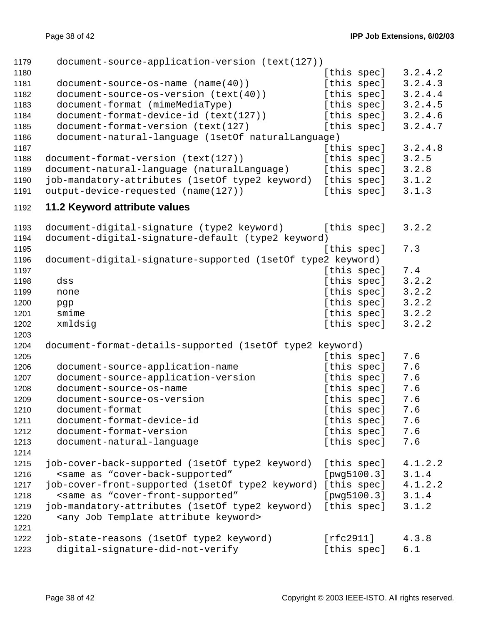| 1179 | document-source-application-version (text(127))                                         |             |         |
|------|-----------------------------------------------------------------------------------------|-------------|---------|
| 1180 |                                                                                         | [this spec] | 3.2.4.2 |
| 1181 | document-source-os-name (name(40))                                                      | [this spec] | 3.2.4.3 |
| 1182 | document-source-os-version (text(40))                                                   | [this spec] | 3.2.4.4 |
| 1183 | document-format (mimeMediaType)                                                         | [this spec] | 3.2.4.5 |
| 1184 | document-format-device-id (text(127))                                                   | [this spec] | 3.2.4.6 |
| 1185 | document-format-version (text(127)                                                      | [this spec] | 3.2.4.7 |
| 1186 | document-natural-language (1setOf naturalLanguage)                                      |             |         |
| 1187 |                                                                                         | [this spec] | 3.2.4.8 |
| 1188 | document-format-version (text(127))                                                     | [this spec] | 3.2.5   |
| 1189 | document-natural-language (naturalLanguage)                                             | [this spec] | 3.2.8   |
| 1190 | job-mandatory-attributes (1setOf type2 keyword)                                         | [this spec] | 3.1.2   |
| 1191 | output-device-requested (name(127))                                                     | [this spec] | 3.1.3   |
| 1192 | 11.2 Keyword attribute values                                                           |             |         |
| 1193 | document-digital-signature (type2 keyword)                                              | [this spec] | 3.2.2   |
| 1194 | document-digital-signature-default (type2 keyword)                                      |             |         |
| 1195 |                                                                                         | [this spec] | 7.3     |
| 1196 | document-digital-signature-supported (1setOf type2 keyword)                             |             |         |
| 1197 |                                                                                         | [this spec] | 7.4     |
| 1198 | dss                                                                                     | [this spec] | 3.2.2   |
| 1199 | none                                                                                    | [this spec] | 3.2.2   |
| 1200 | pgp                                                                                     | [this spec] | 3.2.2   |
| 1201 | smime                                                                                   | [this spec] | 3.2.2   |
| 1202 | xmldsig                                                                                 | [this spec] | 3.2.2   |
| 1203 |                                                                                         |             |         |
| 1204 | document-format-details-supported (1setOf type2 keyword)                                |             |         |
| 1205 |                                                                                         | [this spec] | 7.6     |
| 1206 | document-source-application-name                                                        | [this spec] | 7.6     |
| 1207 | document-source-application-version                                                     | [this spec] | 7.6     |
| 1208 | document-source-os-name                                                                 | [this spec] | 7.6     |
| 1209 | document-source-os-version                                                              | [this spec] | 7.6     |
| 1210 | document-format                                                                         | [this spec] | 7.6     |
| 1211 | document-format-device-id                                                               | [this spec] | 7.6     |
| 1212 | document-format-version                                                                 | [this spec] | 7.6     |
| 1213 | document-natural-language                                                               | [this spec] | 7.6     |
| 1214 |                                                                                         |             |         |
| 1215 | job-cover-back-supported (1setOf type2 keyword)                                         | [this spec] | 4.1.2.2 |
| 1216 | <same "cover-back-supported"<="" as="" td=""><td>[pwg5100.3]</td><td>3.1.4</td></same>  | [pwg5100.3] | 3.1.4   |
| 1217 | job-cover-front-supported (1setOf type2 keyword)                                        | [this spec] | 4.1.2.2 |
| 1218 | <same "cover-front-supported"<="" as="" td=""><td>[pwg5100.3]</td><td>3.1.4</td></same> | [pwg5100.3] | 3.1.4   |
| 1219 | job-mandatory-attributes (1setOf type2 keyword)                                         | [this spec] | 3.1.2   |
| 1220 | <any attribute="" job="" keyword="" template=""></any>                                  |             |         |
| 1221 |                                                                                         |             |         |
| 1222 | job-state-reasons (1setOf type2 keyword)                                                | [rfc2911]   | 4.3.8   |
| 1223 | digital-signature-did-not-verify                                                        | [this spec] | 6.1     |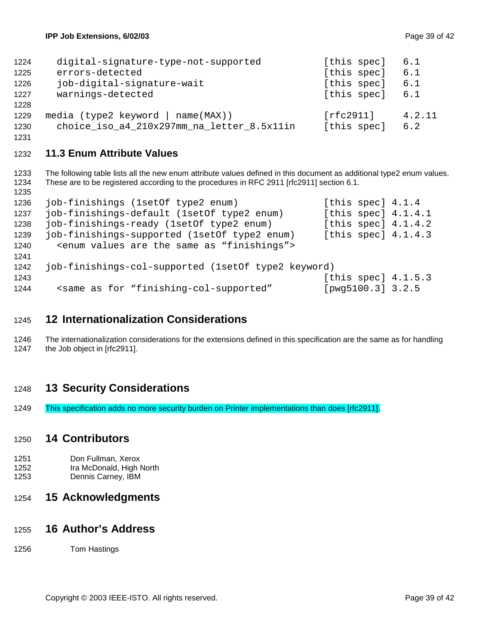| digital-signature-type-not-supported       | [this spec] | 6.1    |
|--------------------------------------------|-------------|--------|
| errors-detected                            | [this spec] | 6.1    |
| job-digital-signature-wait                 | [this spec] | 6.1    |
| warnings-detected                          | [this spec] | 6.1    |
|                                            |             |        |
| media (type2 keyword   name(MAX))          | [rfc2911]   | 4.2.11 |
| choice_iso_a4_210x297mm_na_letter_8.5x11in | [this spec] | 6.2    |
|                                            |             |        |

# **11.3 Enum Attribute Values**

1233 The following table lists all the new enum attribute values defined in this document as additional type2 enum values. 1234 These are to be registered according to the procedures in RFC 2911 [rfc2911] section 6.1.

| 1236 | job-finishings (1setOf type2 enum)                                                                | [this spec] $4.1.4$   |  |
|------|---------------------------------------------------------------------------------------------------|-----------------------|--|
| 1237 | job-finishings-default (1setOf type2 enum)                                                        | [this spec] $4.1.4.1$ |  |
| 1238 | job-finishings-ready (1setOf type2 enum)                                                          | [this spec] $4.1.4.2$ |  |
| 1239 | job-finishings-supported (1setOf type2 enum)                                                      | [this spec] $4.1.4.3$ |  |
| 1240 | <enum "finishings"="" are="" as="" same="" the="" values=""></enum>                               |                       |  |
| 1241 |                                                                                                   |                       |  |
| 1242 | job-finishings-col-supported (1setOf type2 keyword)                                               |                       |  |
| 1243 |                                                                                                   | [this spec] $4.1.5.3$ |  |
| 1244 | <same "finishing-col-supported"<="" as="" for="" td=""><td>[pwg5100.3] 3.2.5</td><td></td></same> | [pwg5100.3] 3.2.5     |  |

# **12 Internationalization Considerations**

1246 The internationalization considerations for the extensions defined in this specification are the same as for handling 1247 the Job object in Irfc29111. the Job object in [rfc2911].

# **13 Security Considerations**

1249 This specification adds no more security burden on Printer implementations than does [rfc2911].

## **14 Contributors**

- 1251 Don Fullman, Xerox
- 1252 Ira McDonald, High North
- 1253 Dennis Carney, IBM

# **15 Acknowledgments**

## **16 Author's Address**

1256 Tom Hastings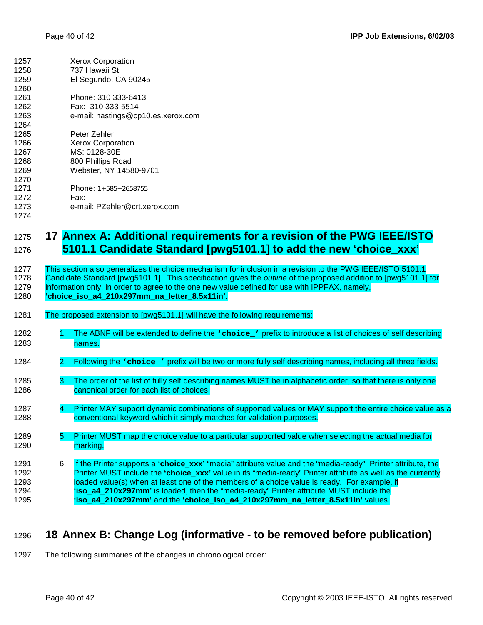| 1257 | <b>Xerox Corporation</b>                                                   |
|------|----------------------------------------------------------------------------|
| 1258 | 737 Hawaii St.                                                             |
| 1259 | El Segundo, CA 90245                                                       |
| 1260 |                                                                            |
| 1261 | Phone: 310 333-6413                                                        |
| 1262 | Fax: 310 333-5514                                                          |
| 1263 | e-mail: hastings@cp10.es.xerox.com                                         |
| 1264 |                                                                            |
| 1265 | Peter Zehler                                                               |
| 1266 | Xerox Corporation                                                          |
| 1267 | MS: 0128-30E                                                               |
| 1268 | 800 Phillips Road                                                          |
| 1269 | Webster, NY 14580-9701                                                     |
| 1270 |                                                                            |
| 1271 | Phone: 1+585+2658755                                                       |
| 1272 | Fax:                                                                       |
| 1273 | e-mail: PZehler@crt.xerox.com                                              |
| 1274 |                                                                            |
|      |                                                                            |
| 1275 | Annex A: Additional requirements for a revision of the PWG IEEE/ISTO<br>17 |

1276 **5101.1 Candidate Standard [pwg5101.1] to add the new 'choice\_xxx'** 

| 1277   | This section also generalizes the choice mechanism for inclusion in a revision to the PWG IEEE/ISTO 5101.1       |
|--------|------------------------------------------------------------------------------------------------------------------|
| 1278   | Candidate Standard [pwg5101.1]. This specification gives the outline of the proposed addition to [pwg5101.1] for |
| 1070 L | information only in order to garge to the one nouvealite defined for use with IDDEAV, nomely                     |

# 1279 information only, in order to agree to the one new value defined for use with IPPFAX, namely,

| 1280 | "choice iso a4 210x297mm na letter 8.5x11in". |  |
|------|-----------------------------------------------|--|
|      |                                               |  |

- 1281 The proposed extension to [pwg5101.1] will have the following requirements:
- 1282 1. The ABNF will be extended to define the **'choice\_'** prefix to introduce a list of choices of self describing 1283 names.
- 1284 2. Following the **'choice'** prefix will be two or more fully self describing names, including all three fields.
- 1285 3. The order of the list of fully self describing names MUST be in alphabetic order, so that there is only one 1286 canonical order for each list of choices.
- 1287 4. Printer MAY support dynamic combinations of supported values or MAY support the entire choice value as a 1288 conventional keyword which it simply matches for validation purposes.
- 1289 5. Printer MUST map the choice value to a particular supported value when selecting the actual media for 1290 marking.
- 1291 6. If the Printer supports a **'choice\_xxx'** "media" attribute value and the "media-ready" Printer attribute, the 1292 Printer MUST include the **'choice\_xxx'** value in its "media-ready" Printer attribute as well as the currently 1293 loaded value(s) when at least one of the members of a choice value is ready. For example, if 1294 **'iso\_a4\_210x297mm'** is loaded, then the "media-ready" Printer attribute MUST include the 1295 **'iso\_a4\_210x297mm'** and the **'choice\_iso\_a4\_210x297mm\_na\_letter\_8.5x11in'** values.

# 1296 **18 Annex B: Change Log (informative - to be removed before publication)**

1297 The following summaries of the changes in chronological order: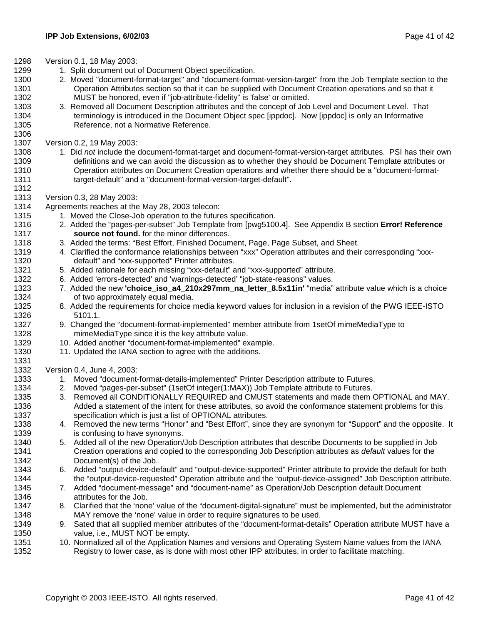- 1298 Version 0.1, 18 May 2003:
- 1299 1. Split document out of Document Object specification.
- 1300 2. Moved "document-format-target" and "document-format-version-target" from the Job Template section to the 1301 Operation Attributes section so that it can be supplied with Document Creation operations and so that it 1302 MUST be honored, even if "job-attribute-fidelity" is 'false' or omitted.
- 1303 3. Removed all Document Description attributes and the concept of Job Level and Document Level. That 1304 terminology is introduced in the Document Object spec [ippdoc]. Now [ippdoc] is only an Informative 1305 Reference, not a Normative Reference.
- 1307 Version 0.2, 19 May 2003:

1306

1312

1331

- 1308 1. Did *not* include the document-format-target and document-format-version-target attributes. PSI has their own 1309 definitions and we can avoid the discussion as to whether they should be Document Template attributes or 1310 Operation attributes on Document Creation operations and whether there should be a "document-format-1311 target-default" and a "document-format-version-target-default".
- 1313 Version 0.3, 28 May 2003:
- 1314 Agreements reaches at the May 28, 2003 telecon:
- 1315 1. Moved the Close-Job operation to the futures specification.
- 1316 2. Added the "pages-per-subset" Job Template from [pwg5100.4]. See Appendix B section **Error! Reference**  1317 **source not found.** for the minor differences.
- 1318 3. Added the terms: "Best Effort, Finished Document, Page, Page Subset, and Sheet.
- 1319 4. Clarified the conformance relationships between "xxx" Operation attributes and their corresponding "xxx-1320 default" and "xxx-supported" Printer attributes.
- 1321 5. Added rationale for each missing "xxx-default" and "xxx-supported" attribute.
- 1322 6. Added 'errors-detected' and 'warnings-detected' "job-state-reasons" values.
- 1323 7. Added the new **'choice\_iso\_a4\_210x297mm\_na\_letter\_8.5x11in'** "media" attribute value which is a choice 1324 of two approximately equal media.
- 1325 8. Added the requirements for choice media keyword values for inclusion in a revision of the PWG IEEE-ISTO 1326 5101.1.
- 1327 9. Changed the "document-format-implemented" member attribute from 1setOf mimeMediaType to 1328 mimeMediaType since it is the key attribute value.
- 1329 10. Added another "document-format-implemented" example.
- 1330 11. Updated the IANA section to agree with the additions.

1332 Version 0.4, June 4, 2003:

- 1333 1. Moved "document-format-details-implemented" Printer Description attribute to Futures.
- 1334 2. Moved "pages-per-subset" (1setOf integer(1:MAX)) Job Template attribute to Futures.
- 1335 3. Removed all CONDITIONALLY REQUIRED and CMUST statements and made them OPTIONAL and MAY. 1336 Added a statement of the intent for these attributes, so avoid the conformance statement problems for this 1337 specification which is just a list of OPTIONAL attributes.
- 1338 4. Removed the new terms "Honor" and "Best Effort", since they are synonym for "Support" and the opposite. It 1339 is confusing to have synonyms.
- 1340 5. Added all of the new Operation/Job Description attributes that describe Documents to be supplied in Job 1341 Creation operations and copied to the corresponding Job Description attributes as *default* values for the 1342 Document(s) of the Job.
- 1343 6. Added "output-device-default" and "output-device-supported" Printer attribute to provide the default for both 1344 the "output-device-requested" Operation attribute and the "output-device-assigned" Job Description attribute.
- 1345 7. Added "document-message" and "document-name" as Operation/Job Description default Document 1346 attributes for the Job.
- 1347 8. Clarified that the 'none' value of the "document-digital-signature" must be implemented, but the administrator 1348 MAY remove the 'none' value in order to require signatures to be used.
- 1349 9. Sated that all supplied member attributes of the "document-format-details" Operation attribute MUST have a 1350 value, i.e., MUST NOT be empty.
- 1351 10. Normalized all of the Application Names and versions and Operating System Name values from the IANA 1352 Registry to lower case, as is done with most other IPP attributes, in order to facilitate matching.